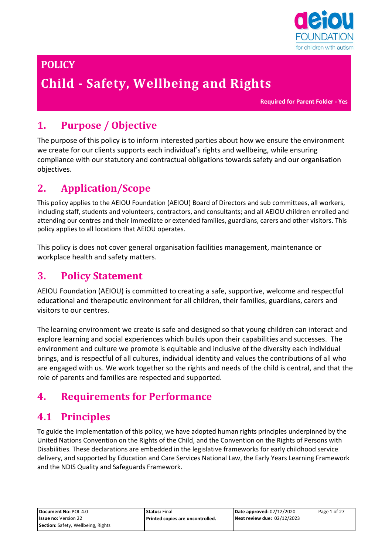

# **POLICY**

# **Child - Safety, Wellbeing and Rights**

**Required for Parent Folder - Yes**

# **1. Purpose / Objective**

The purpose of this policy is to inform interested parties about how we ensure the environment we create for our clients supports each individual's rights and wellbeing, while ensuring compliance with our statutory and contractual obligations towards safety and our organisation objectives.

# **2. Application/Scope**

This policy applies to the AEIOU Foundation (AEIOU) Board of Directors and sub committees, all workers, including staff, students and volunteers, contractors, and consultants; and all AEIOU children enrolled and attending our centres and their immediate or extended families, guardians, carers and other visitors. This policy applies to all locations that AEIOU operates.

This policy is does not cover general organisation facilities management, maintenance or workplace health and safety matters.

### **3. Policy Statement**

AEIOU Foundation (AEIOU) is committed to creating a safe, supportive, welcome and respectful educational and therapeutic environment for all children, their families, guardians, carers and visitors to our centres.

The learning environment we create is safe and designed so that young children can interact and explore learning and social experiences which builds upon their capabilities and successes. The environment and culture we promote is equitable and inclusive of the diversity each individual brings, and is respectful of all cultures, individual identity and values the contributions of all who are engaged with us. We work together so the rights and needs of the child is central, and that the role of parents and families are respected and supported.

### **4. Requirements for Performance**

### **4.1 Principles**

To guide the implementation of this policy, we have adopted human rights principles underpinned by the United Nations Convention on the Rights of the Child, and the Convention on the Rights of Persons with Disabilities. These declarations are embedded in the legislative frameworks for early childhood service delivery, and supported by Education and Care Services National Law, the Early Years Learning Framework and the NDIS Quality and Safeguards Framework.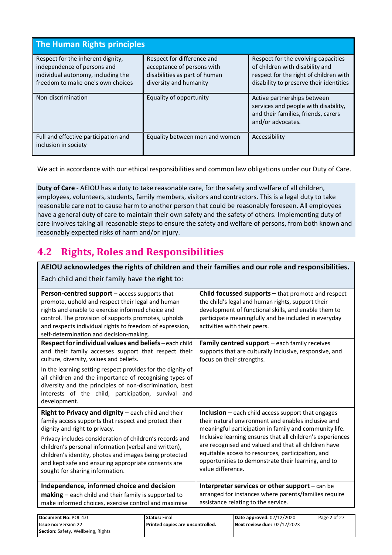| The Human Rights principles                                                                                                                 |                                                                                                                     |                                                                                                                                                             |  |
|---------------------------------------------------------------------------------------------------------------------------------------------|---------------------------------------------------------------------------------------------------------------------|-------------------------------------------------------------------------------------------------------------------------------------------------------------|--|
| Respect for the inherent dignity,<br>independence of persons and<br>individual autonomy, including the<br>freedom to make one's own choices | Respect for difference and<br>acceptance of persons with<br>disabilities as part of human<br>diversity and humanity | Respect for the evolving capacities<br>of children with disability and<br>respect for the right of children with<br>disability to preserve their identities |  |
| Non-discrimination                                                                                                                          | Equality of opportunity                                                                                             | Active partnerships between<br>services and people with disability,<br>and their families, friends, carers<br>and/or advocates.                             |  |
| Full and effective participation and<br>inclusion in society                                                                                | Equality between men and women                                                                                      | Accessibility                                                                                                                                               |  |

We act in accordance with our ethical responsibilities and common law obligations under our Duty of Care.

**Duty of Care** - AEIOU has a duty to take reasonable care, for the safety and welfare of all children, employees, volunteers, students, family members, visitors and contractors. This is a legal duty to take reasonable care not to cause harm to another person that could be reasonably foreseen. All employees have a general duty of care to maintain their own safety and the safety of others. Implementing duty of care involves taking all reasonable steps to ensure the safety and welfare of persons, from both known and reasonably expected risks of harm and/or injury.

# **4.2 Rights, Roles and Responsibilities**

**Issue no:** Version 22

**Section:** Safety, Wellbeing, Rights

**AEIOU acknowledges the rights of children and their families and our role and responsibilities.**  Each child and their family have the **right** to:

| Person-centred support - access supports that<br>promote, uphold and respect their legal and human<br>rights and enable to exercise informed choice and<br>control. The provision of supports promotes, upholds<br>and respects individual rights to freedom of expression,<br>self-determination and decision-making.                                                                                                 |                      |                           | Child focussed supports - that promote and respect<br>the child's legal and human rights, support their<br>development of functional skills, and enable them to<br>participate meaningfully and be included in everyday<br>activities with their peers.                                                                                                                                                        |              |
|------------------------------------------------------------------------------------------------------------------------------------------------------------------------------------------------------------------------------------------------------------------------------------------------------------------------------------------------------------------------------------------------------------------------|----------------------|---------------------------|----------------------------------------------------------------------------------------------------------------------------------------------------------------------------------------------------------------------------------------------------------------------------------------------------------------------------------------------------------------------------------------------------------------|--------------|
| Respect for individual values and beliefs - each child<br>and their family accesses support that respect their<br>culture, diversity, values and beliefs.<br>In the learning setting respect provides for the dignity of<br>all children and the importance of recognising types of<br>diversity and the principles of non-discrimination, best<br>interests of the child, participation, survival and<br>development. |                      | focus on their strengths. | Family centred support - each family receives<br>supports that are culturally inclusive, responsive, and                                                                                                                                                                                                                                                                                                       |              |
| Right to Privacy and dignity - each child and their<br>family access supports that respect and protect their<br>dignity and right to privacy.<br>Privacy includes consideration of children's records and<br>children's personal information (verbal and written),<br>children's identity, photos and images being protected<br>and kept safe and ensuring appropriate consents are<br>sought for sharing information. |                      | value difference.         | <b>Inclusion</b> $-$ each child access support that engages<br>their natural environment and enables inclusive and<br>meaningful participation in family and community life.<br>Inclusive learning ensures that all children's experiences<br>are recognised and valued and that all children have<br>equitable access to resources, participation, and<br>opportunities to demonstrate their learning, and to |              |
| Independence, informed choice and decision<br>making - each child and their family is supported to<br>make informed choices, exercise control and maximise                                                                                                                                                                                                                                                             |                      |                           | Interpreter services or other support - can be<br>arranged for instances where parents/families require<br>assistance relating to the service.                                                                                                                                                                                                                                                                 |              |
| Document No: POL 4.0                                                                                                                                                                                                                                                                                                                                                                                                   | <b>Status: Final</b> |                           | Date approved: 02/12/2020                                                                                                                                                                                                                                                                                                                                                                                      | Page 2 of 27 |

**Printed copies are uncontrolled.**

**Next review due:** 02/12/2023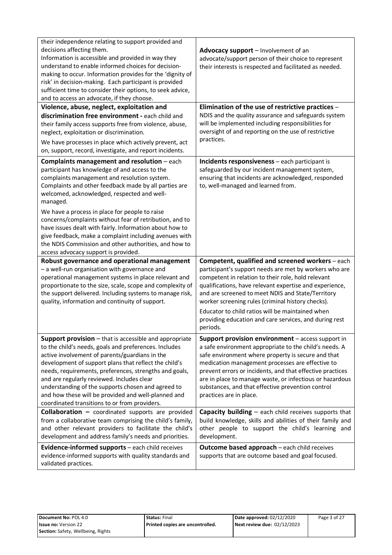| their independence relating to support provided and<br>decisions affecting them.<br>Information is accessible and provided in way they<br>understand to enable informed choices for decision-<br>making to occur. Information provides for the 'dignity of<br>risk' in decision-making. Each participant is provided<br>sufficient time to consider their options, to seek advice,<br>and to access an advocate, if they choose.                                                                 | Advocacy support - Involvement of an<br>advocate/support person of their choice to represent<br>their interests is respected and facilitated as needed.                                                                                                                                                                                                                                                                        |
|--------------------------------------------------------------------------------------------------------------------------------------------------------------------------------------------------------------------------------------------------------------------------------------------------------------------------------------------------------------------------------------------------------------------------------------------------------------------------------------------------|--------------------------------------------------------------------------------------------------------------------------------------------------------------------------------------------------------------------------------------------------------------------------------------------------------------------------------------------------------------------------------------------------------------------------------|
| Violence, abuse, neglect, exploitation and                                                                                                                                                                                                                                                                                                                                                                                                                                                       | Elimination of the use of restrictive practices -                                                                                                                                                                                                                                                                                                                                                                              |
| discrimination free environment - each child and<br>their family access supports free from violence, abuse,<br>neglect, exploitation or discrimination.<br>We have processes in place which actively prevent, act<br>on, support, record, investigate, and report incidents.                                                                                                                                                                                                                     | NDIS and the quality assurance and safeguards system<br>will be implemented including responsibilities for<br>oversight of and reporting on the use of restrictive<br>practices.                                                                                                                                                                                                                                               |
| <b>Complaints management and resolution</b> - each<br>participant has knowledge of and access to the<br>complaints management and resolution system.<br>Complaints and other feedback made by all parties are<br>welcomed, acknowledged, respected and well-<br>managed.                                                                                                                                                                                                                         | Incidents responsiveness - each participant is<br>safeguarded by our incident management system,<br>ensuring that incidents are acknowledged, responded<br>to, well-managed and learned from.                                                                                                                                                                                                                                  |
| We have a process in place for people to raise<br>concerns/complaints without fear of retribution, and to<br>have issues dealt with fairly. Information about how to<br>give feedback, make a complaint including avenues with<br>the NDIS Commission and other authorities, and how to<br>access advocacy support is provided.                                                                                                                                                                  |                                                                                                                                                                                                                                                                                                                                                                                                                                |
| Robust governance and operational management                                                                                                                                                                                                                                                                                                                                                                                                                                                     | Competent, qualified and screened workers - each                                                                                                                                                                                                                                                                                                                                                                               |
| - a well-run organisation with governance and<br>operational management systems in place relevant and<br>proportionate to the size, scale, scope and complexity of<br>the support delivered. Including systems to manage risk,<br>quality, information and continuity of support.                                                                                                                                                                                                                | participant's support needs are met by workers who are<br>competent in relation to their role, hold relevant<br>qualifications, have relevant expertise and experience,<br>and are screened to meet NDIS and State/Territory<br>worker screening rules (criminal history checks).                                                                                                                                              |
|                                                                                                                                                                                                                                                                                                                                                                                                                                                                                                  | Educator to child ratios will be maintained when<br>providing education and care services, and during rest<br>periods.                                                                                                                                                                                                                                                                                                         |
| Support provision - that is accessible and appropriate<br>to the child's needs, goals and preferences. Includes<br>active involvement of parents/guardians in the<br>development of support plans that reflect the child's<br>needs, requirements, preferences, strengths and goals,<br>and are regularly reviewed. Includes clear<br>understanding of the supports chosen and agreed to<br>and how these will be provided and well-planned and<br>coordinated transitions to or from providers. | Support provision environment - access support in<br>a safe environment appropriate to the child's needs. A<br>safe environment where property is secure and that<br>medication management processes are effective to<br>prevent errors or incidents, and that effective practices<br>are in place to manage waste, or infectious or hazardous<br>substances, and that effective prevention control<br>practices are in place. |
| Collaboration - coordinated supports are provided<br>from a collaborative team comprising the child's family,<br>and other relevant providers to facilitate the child's<br>development and address family's needs and priorities.                                                                                                                                                                                                                                                                | Capacity building - each child receives supports that<br>build knowledge, skills and abilities of their family and<br>other people to support the child's learning and<br>development.                                                                                                                                                                                                                                         |
| Evidence-informed supports - each child receives<br>evidence-informed supports with quality standards and<br>validated practices.                                                                                                                                                                                                                                                                                                                                                                | <b>Outcome based approach</b> - each child receives<br>supports that are outcome based and goal focused.                                                                                                                                                                                                                                                                                                                       |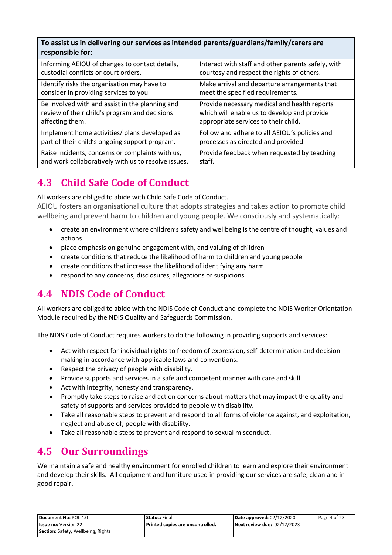**To assist us in delivering our services as intended parents/guardians/family/carers are responsible for**:

| Informing AEIOU of changes to contact details,      | Interact with staff and other parents safely, with |
|-----------------------------------------------------|----------------------------------------------------|
| custodial conflicts or court orders.                | courtesy and respect the rights of others.         |
| Identify risks the organisation may have to         | Make arrival and departure arrangements that       |
| consider in providing services to you.              | meet the specified requirements.                   |
| Be involved with and assist in the planning and     | Provide necessary medical and health reports       |
| review of their child's program and decisions       | which will enable us to develop and provide        |
| affecting them.                                     | appropriate services to their child.               |
| Implement home activities/ plans developed as       | Follow and adhere to all AEIOU's policies and      |
| part of their child's ongoing support program.      | processes as directed and provided.                |
| Raise incidents, concerns or complaints with us,    | Provide feedback when requested by teaching        |
| and work collaboratively with us to resolve issues. | staff.                                             |

# **4.3 Child Safe Code of Conduct**

All workers are obliged to abide with Child Safe Code of Conduct.

AEIOU fosters an organisational culture that adopts strategies and takes action to promote child wellbeing and prevent harm to children and young people. We consciously and systematically:

- create an environment where children's safety and wellbeing is the centre of thought, values and actions
- place emphasis on genuine engagement with, and valuing of children
- create conditions that reduce the likelihood of harm to children and young people
- create conditions that increase the likelihood of identifying any harm
- respond to any concerns, disclosures, allegations or suspicions.

# **4.4 NDIS Code of Conduct**

All workers are obliged to abide with the NDIS Code of Conduct and complete the NDIS Worker Orientation Module required by the NDIS Quality and Safeguards Commission.

The NDIS Code of Conduct requires workers to do the following in providing supports and services:

- Act with respect for individual rights to freedom of expression, self-determination and decisionmaking in accordance with applicable laws and conventions.
- Respect the privacy of people with disability.
- Provide supports and services in a safe and competent manner with care and skill.
- Act with integrity, honesty and transparency.
- Promptly take steps to raise and act on concerns about matters that may impact the quality and safety of supports and services provided to people with disability.
- Take all reasonable steps to prevent and respond to all forms of violence against, and exploitation, neglect and abuse of, people with disability.
- Take all reasonable steps to prevent and respond to sexual misconduct.

# **4.5 Our Surroundings**

We maintain a safe and healthy environment for enrolled children to learn and explore their environment and develop their skills. All equipment and furniture used in providing our services are safe, clean and in good repair.

| Document No: POL 4.0               | <b>Status: Final</b>               | Date approved: 02/12/2020     | Page 4 of 27 |
|------------------------------------|------------------------------------|-------------------------------|--------------|
| <b>Issue no: Version 22</b>        | l Printed copies are uncontrolled. | Next review due: $02/12/2023$ |              |
| Section: Safety, Wellbeing, Rights |                                    |                               |              |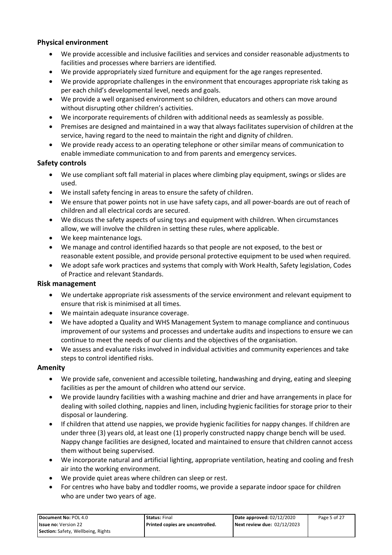#### **Physical environment**

- We provide accessible and inclusive facilities and services and consider reasonable adjustments to facilities and processes where barriers are identified.
- We provide appropriately sized furniture and equipment for the age ranges represented.
- We provide appropriate challenges in the environment that encourages appropriate risk taking as per each child's developmental level, needs and goals.
- We provide a well organised environment so children, educators and others can move around without disrupting other children's activities.
- We incorporate requirements of children with additional needs as seamlessly as possible.
- Premises are designed and maintained in a way that always facilitates supervision of children at the service, having regard to the need to maintain the right and dignity of children.
- We provide ready access to an operating telephone or other similar means of communication to enable immediate communication to and from parents and emergency services.

#### **Safety controls**

- We use compliant soft fall material in places where climbing play equipment, swings or slides are used.
- We install safety fencing in areas to ensure the safety of children.
- We ensure that power points not in use have safety caps, and all power-boards are out of reach of children and all electrical cords are secured.
- We discuss the safety aspects of using toys and equipment with children. When circumstances allow, we will involve the children in setting these rules, where applicable.
- We keep maintenance logs.
- We manage and control identified hazards so that people are not exposed, to the best or reasonable extent possible, and provide personal protective equipment to be used when required.
- We adopt safe work practices and systems that comply with Work Health, Safety legislation, Codes of Practice and relevant Standards.

#### **Risk management**

- We undertake appropriate risk assessments of the service environment and relevant equipment to ensure that risk is minimised at all times.
- We maintain adequate insurance coverage.
- We have adopted a Quality and WHS Management System to manage compliance and continuous improvement of our systems and processes and undertake audits and inspections to ensure we can continue to meet the needs of our clients and the objectives of the organisation.
- We assess and evaluate risks involved in individual activities and community experiences and take steps to control identified risks.

#### **Amenity**

- We provide safe, convenient and accessible toileting, handwashing and drying, eating and sleeping facilities as per the amount of children who attend our service.
- We provide laundry facilities with a washing machine and drier and have arrangements in place for dealing with soiled clothing, nappies and linen, including hygienic facilities for storage prior to their disposal or laundering.
- If children that attend use nappies, we provide hygienic facilities for nappy changes. If children are under three (3) years old, at least one (1) properly constructed nappy change bench will be used. Nappy change facilities are designed, located and maintained to ensure that children cannot access them without being supervised.
- We incorporate natural and artificial lighting, appropriate ventilation, heating and cooling and fresh air into the working environment.
- We provide quiet areas where children can sleep or rest.
- For centres who have baby and toddler rooms, we provide a separate indoor space for children who are under two years of age.

| Document No: POL 4.0                      | <b>Status: Final</b>             | Date approved: 02/12/2020   | Page 5 of 27 |
|-------------------------------------------|----------------------------------|-----------------------------|--------------|
| <b>Issue no: Version 22</b>               | Printed copies are uncontrolled. | Next review due: 02/12/2023 |              |
| <b>Section:</b> Safety, Wellbeing, Rights |                                  |                             |              |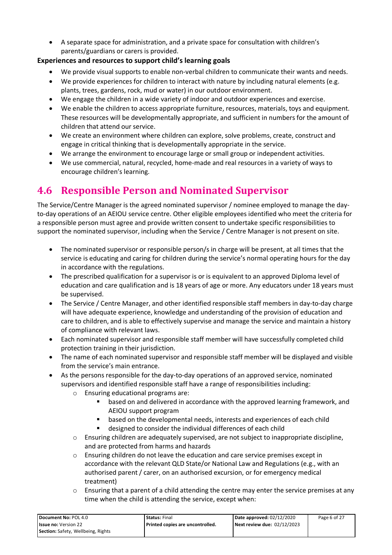• A separate space for administration, and a private space for consultation with children's parents/guardians or carers is provided.

### **Experiences and resources to support child's learning goals**

- We provide visual supports to enable non-verbal children to communicate their wants and needs.
- We provide experiences for children to interact with nature by including natural elements (e.g. plants, trees, gardens, rock, mud or water) in our outdoor environment.
- We engage the children in a wide variety of indoor and outdoor experiences and exercise.
- We enable the children to access appropriate furniture, resources, materials, toys and equipment. These resources will be developmentally appropriate, and sufficient in numbers for the amount of children that attend our service.
- We create an environment where children can explore, solve problems, create, construct and engage in critical thinking that is developmentally appropriate in the service.
- We arrange the environment to encourage large or small group or independent activities.
- We use commercial, natural, recycled, home-made and real resources in a variety of ways to encourage children's learning.

# **4.6 Responsible Person and Nominated Supervisor**

The Service/Centre Manager is the agreed nominated supervisor / nominee employed to manage the dayto-day operations of an AEIOU service centre. Other eligible employees identified who meet the criteria for a responsible person must agree and provide written consent to undertake specific responsibilities to support the nominated supervisor, including when the Service / Centre Manager is not present on site.

- The nominated supervisor or responsible person/s in charge will be present, at all times that the service is educating and caring for children during the service's normal operating hours for the day in accordance with the regulations.
- The prescribed qualification for a supervisor is or is equivalent to an approved Diploma level of education and care qualification and is 18 years of age or more. Any educators under 18 years must be supervised.
- The Service / Centre Manager, and other identified responsible staff members in day-to-day charge will have adequate experience, knowledge and understanding of the provision of education and care to children, and is able to effectively supervise and manage the service and maintain a history of compliance with relevant laws.
- Each nominated supervisor and responsible staff member will have successfully completed child protection training in their jurisdiction.
- The name of each nominated supervisor and responsible staff member will be displayed and visible from the service's main entrance.
- As the persons responsible for the day-to-day operations of an approved service, nominated supervisors and identified responsible staff have a range of responsibilities including:
	- o Ensuring educational programs are:
		- based on and delivered in accordance with the approved learning framework, and AEIOU support program
		- based on the developmental needs, interests and experiences of each child
		- designed to consider the individual differences of each child
	- o Ensuring children are adequately supervised, are not subject to inappropriate discipline, and are protected from harms and hazards
	- $\circ$  Ensuring children do not leave the education and care service premises except in accordance with the relevant QLD State/or National Law and Regulations (e.g., with an authorised parent / carer, on an authorised excursion, or for emergency medical treatment)
	- $\circ$  Ensuring that a parent of a child attending the centre may enter the service premises at any time when the child is attending the service, except when:

| Document No: POL 4.0                      | <b>Status: Final</b>               | Date approved: 02/12/2020   | Page 6 of 27 |
|-------------------------------------------|------------------------------------|-----------------------------|--------------|
| <b>Issue no: Version 22</b>               | l Printed copies are uncontrolled. | Next review due: 02/12/2023 |              |
| <b>Section:</b> Safety, Wellbeing, Rights |                                    |                             |              |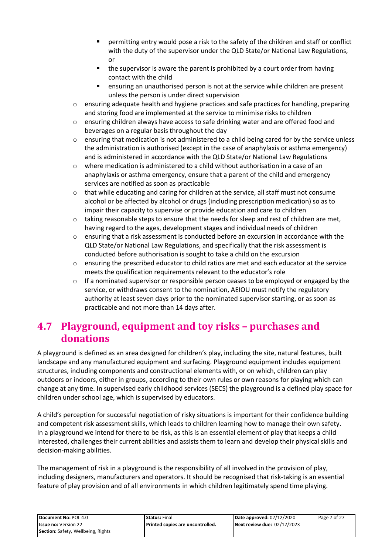- permitting entry would pose a risk to the safety of the children and staff or conflict with the duty of the supervisor under the QLD State/or National Law Regulations, or
- the supervisor is aware the parent is prohibited by a court order from having contact with the child
- ensuring an unauthorised person is not at the service while children are present unless the person is under direct supervision
- o ensuring adequate health and hygiene practices and safe practices for handling, preparing and storing food are implemented at the service to minimise risks to children
- o ensuring children always have access to safe drinking water and are offered food and beverages on a regular basis throughout the day
- o ensuring that medication is not administered to a child being cared for by the service unless the administration is authorised (except in the case of anaphylaxis or asthma emergency) and is administered in accordance with the QLD State/or National Law Regulations
- $\circ$  where medication is administered to a child without authorisation in a case of an anaphylaxis or asthma emergency, ensure that a parent of the child and emergency services are notified as soon as practicable
- $\circ$  that while educating and caring for children at the service, all staff must not consume alcohol or be affected by alcohol or drugs (including prescription medication) so as to impair their capacity to supervise or provide education and care to children
- $\circ$  taking reasonable steps to ensure that the needs for sleep and rest of children are met, having regard to the ages, development stages and individual needs of children
- o ensuring that a risk assessment is conducted before an excursion in accordance with the QLD State/or National Law Regulations, and specifically that the risk assessment is conducted before authorisation is sought to take a child on the excursion
- o ensuring the prescribed educator to child ratios are met and each educator at the service meets the qualification requirements relevant to the educator's role
- $\circ$  If a nominated supervisor or responsible person ceases to be employed or engaged by the service, or withdraws consent to the nomination, AEIOU must notify the regulatory authority at least seven days prior to the nominated supervisor starting, or as soon as practicable and not more than 14 days after.

### **4.7 Playground, equipment and toy risks – purchases and donations**

A playground is defined as an area designed for children's play, including the site, natural features, built landscape and any manufactured equipment and surfacing. Playground equipment includes equipment structures, including components and constructional elements with, or on which, children can play outdoors or indoors, either in groups, according to their own rules or own reasons for playing which can change at any time. In supervised early childhood services (SECS) the playground is a defined play space for children under school age, which is supervised by educators.

A child's perception for successful negotiation of risky situations is important for their confidence building and competent risk assessment skills, which leads to children learning how to manage their own safety. In a playground we intend for there to be risk, as this is an essential element of play that keeps a child interested, challenges their current abilities and assists them to learn and develop their physical skills and decision-making abilities.

The management of risk in a playground is the responsibility of all involved in the provision of play, including designers, manufacturers and operators. It should be recognised that risk-taking is an essential feature of play provision and of all environments in which children legitimately spend time playing.

| Document No: POL 4.0               | <b>Status:</b> Final             | Date approved: 02/12/2020   | Page 7 of 27 |
|------------------------------------|----------------------------------|-----------------------------|--------------|
| <b>Issue no: Version 22</b>        | Printed copies are uncontrolled. | Next review due: 02/12/2023 |              |
| Section: Safety, Wellbeing, Rights |                                  |                             |              |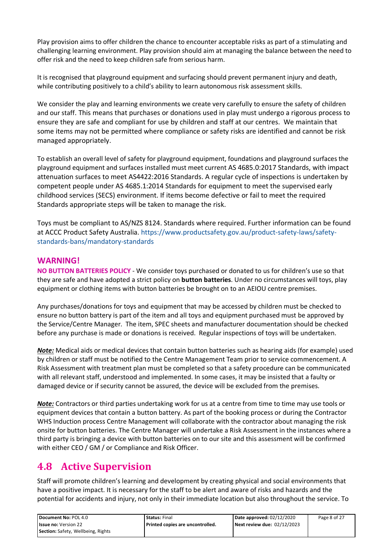Play provision aims to offer children the chance to encounter acceptable risks as part of a stimulating and challenging learning environment. Play provision should aim at managing the balance between the need to offer risk and the need to keep children safe from serious harm.

It is recognised that playground equipment and surfacing should prevent permanent injury and death, while contributing positively to a child's ability to learn autonomous risk assessment skills.

We consider the play and learning environments we create very carefully to ensure the safety of children and our staff. This means that purchases or donations used in play must undergo a rigorous process to ensure they are safe and compliant for use by children and staff at our centres. We maintain that some items may not be permitted where compliance or safety risks are identified and cannot be risk managed appropriately.

To establish an overall level of safety for playground equipment, foundations and playground surfaces the playground equipment and surfaces installed must meet current AS 4685.0:2017 Standards, with impact attenuation surfaces to meet AS4422:2016 Standards. A regular cycle of inspections is undertaken by competent people under AS 4685.1:2014 Standards for equipment to meet the supervised early childhood services (SECS) environment. If items become defective or fail to meet the required Standards appropriate steps will be taken to manage the risk.

Toys must be compliant to AS/NZS 8124. Standards where required. Further information can be found at ACCC Product Safety Australia. [https://www.productsafety.gov.au/product-safety-laws/safety](https://www.productsafety.gov.au/product-safety-laws/safety-standards-bans/mandatory-standards)[standards-bans/mandatory-standards](https://www.productsafety.gov.au/product-safety-laws/safety-standards-bans/mandatory-standards) 

### **WARNING!**

**NO BUTTON BATTERIES POLICY** - We consider toys purchased or donated to us for children's use so that they are safe and have adopted a strict policy on **button batteries**. Under no circumstances will toys, play equipment or clothing items with button batteries be brought on to an AEIOU centre premises.

Any purchases/donations for toys and equipment that may be accessed by children must be checked to ensure no button battery is part of the item and all toys and equipment purchased must be approved by the Service/Centre Manager. The item, SPEC sheets and manufacturer documentation should be checked before any purchase is made or donations is received. Regular inspections of toys will be undertaken.

*Note:* Medical aids or medical devices that contain button batteries such as hearing aids (for example) used by children or staff must be notified to the Centre Management Team prior to service commencement. A Risk Assessment with treatment plan must be completed so that a safety procedure can be communicated with all relevant staff, understood and implemented. In some cases, it may be insisted that a faulty or damaged device or if security cannot be assured, the device will be excluded from the premises.

*Note:* Contractors or third parties undertaking work for us at a centre from time to time may use tools or equipment devices that contain a button battery. As part of the booking process or during the Contractor WHS Induction process Centre Management will collaborate with the contractor about managing the risk onsite for button batteries. The Centre Manager will undertake a Risk Assessment in the instances where a third party is bringing a device with button batteries on to our site and this assessment will be confirmed with either CEO / GM / or Compliance and Risk Officer.

### **4.8 Active Supervision**

Staff will promote children's learning and development by creating physical and social environments that have a positive impact. It is necessary for the staff to be alert and aware of risks and hazards and the potential for accidents and injury, not only in their immediate location but also throughout the service. To

| Document No: POL 4.0                      | <b>Status: Final</b>             | Date approved: 02/12/2020   | Page 8 of 27 |
|-------------------------------------------|----------------------------------|-----------------------------|--------------|
| <b>Issue no: Version 22</b>               | Printed copies are uncontrolled. | Next review due: 02/12/2023 |              |
| <b>Section:</b> Safety, Wellbeing, Rights |                                  |                             |              |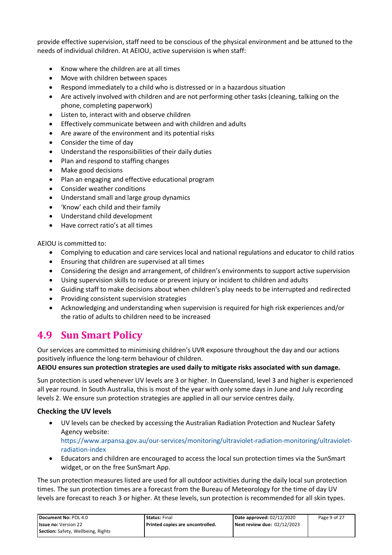provide effective supervision, staff need to be conscious of the physical environment and be attuned to the needs of individual children. At AEIOU, active supervision is when staff:

- Know where the children are at all times
- Move with children between spaces
- Respond immediately to a child who is distressed or in a hazardous situation
- Are actively involved with children and are not performing other tasks (cleaning, talking on the phone, completing paperwork)
- Listen to, interact with and observe children
- Effectively communicate between and with children and adults
- Are aware of the environment and its potential risks
- Consider the time of day
- Understand the responsibilities of their daily duties
- Plan and respond to staffing changes
- Make good decisions
- Plan an engaging and effective educational program
- Consider weather conditions
- Understand small and large group dynamics
- 'Know' each child and their family
- Understand child development
- Have correct ratio's at all times

AEIOU is committed to:

- Complying to education and care services local and national regulations and educator to child ratios
- Ensuring that children are supervised at all times
- Considering the design and arrangement, of children's environments to support active supervision
- Using supervision skills to reduce or prevent injury or incident to children and adults
- Guiding staff to make decisions about when children's play needs to be interrupted and redirected
- Providing consistent supervision strategies
- Acknowledging and understanding when supervision is required for high risk experiences and/or the ratio of adults to children need to be increased

### **4.9 Sun Smart Policy**

Our services are committed to minimising children's UVR exposure throughout the day and our actions positively influence the long-term behaviour of children.

#### **AEIOU ensures sun protection strategies are used daily to mitigate risks associated with sun damage.**

Sun protection is used whenever UV levels are 3 or higher. In Queensland, level 3 and higher is experienced all year round. In South Australia, this is most of the year with only some days in June and July recording levels 2. We ensure sun protection strategies are applied in all our service centres daily.

#### **Checking the UV levels**

- UV levels can be checked by accessing the Australian Radiation Protection and Nuclear Safety Agency website: [https://www.arpansa.gov.au/our-services/monitoring/ultraviolet-radiation-monitoring/ultraviolet](https://www.arpansa.gov.au/our-services/monitoring/ultraviolet-radiation-monitoring/ultraviolet-radiation-index)[radiation-index](https://www.arpansa.gov.au/our-services/monitoring/ultraviolet-radiation-monitoring/ultraviolet-radiation-index)
- Educators and children are encouraged to access the local sun protection times via the SunSmart widget, or on the free SunSmart App.

The sun protection measures listed are used for all outdoor activities during the daily local sun protection times. The sun protection times are a forecast from the Bureau of Meteorology for the time of day UV levels are forecast to reach 3 or higher. At these levels, sun protection is recommended for all skin types.

| Document No: POL 4.0                      | <b>Status:</b> Final             | Date approved: 02/12/2020   | Page 9 of 27 |
|-------------------------------------------|----------------------------------|-----------------------------|--------------|
| <b>Issue no: Version 22</b>               | Printed copies are uncontrolled. | Next review due: 02/12/2023 |              |
| <b>Section:</b> Safety, Wellbeing, Rights |                                  |                             |              |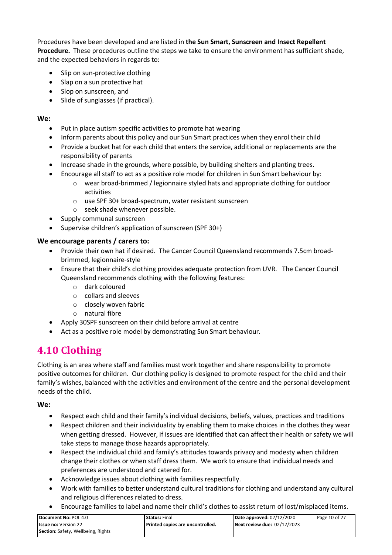Procedures have been developed and are listed in **the Sun Smart, Sunscreen and Insect Repellent Procedure.** These procedures outline the steps we take to ensure the environment has sufficient shade, and the expected behaviors in regards to:

- Slip on sun-protective clothing
- Slap on a sun protective hat
- Slop on sunscreen, and
- Slide of sunglasses (if practical).

#### **We:**

- Put in place autism specific activities to promote hat wearing
- Inform parents about this policy and our Sun Smart practices when they enrol their child
- Provide a bucket hat for each child that enters the service, additional or replacements are the responsibility of parents
- Increase shade in the grounds, where possible, by building shelters and planting trees.
- Encourage all staff to act as a positive role model for children in Sun Smart behaviour by:
	- o wear broad-brimmed / legionnaire styled hats and appropriate clothing for outdoor activities
	- o use SPF 30+ broad-spectrum, water resistant sunscreen
	- o seek shade whenever possible.
- Supply communal sunscreen
- Supervise children's application of sunscreen (SPF 30+)

#### **We encourage parents / carers to:**

- Provide their own hat if desired. The Cancer Council Queensland recommends 7.5cm broadbrimmed, legionnaire-style
- Ensure that their child's clothing provides adequate protection from UVR. The Cancer Council Queensland recommends clothing with the following features:
	- o dark coloured
	- o collars and sleeves
	- o closely woven fabric
	- o natural fibre
- Apply 30SPF sunscreen on their child before arrival at centre
- Act as a positive role model by demonstrating Sun Smart behaviour.

### **4.10 Clothing**

Clothing is an area where staff and families must work together and share responsibility to promote positive outcomes for children. Our clothing policy is designed to promote respect for the child and their family's wishes, balanced with the activities and environment of the centre and the personal development needs of the child.

#### **We:**

- Respect each child and their family's individual decisions, beliefs, values, practices and traditions
- Respect children and their individuality by enabling them to make choices in the clothes they wear when getting dressed. However, if issues are identified that can affect their health or safety we will take steps to manage those hazards appropriately.
- Respect the individual child and family's attitudes towards privacy and modesty when children change their clothes or when staff dress them. We work to ensure that individual needs and preferences are understood and catered for.
- Acknowledge issues about clothing with families respectfully.
- Work with families to better understand cultural traditions for clothing and understand any cultural and religious differences related to dress.
- Encourage families to label and name their child's clothes to assist return of lost/misplaced items.

| Document No: POL 4.0               | <b>Status: Final</b>             | Date approved: $02/12/2020$ | Page 10 of 27 |
|------------------------------------|----------------------------------|-----------------------------|---------------|
| <b>Issue no: Version 22</b>        | Printed copies are uncontrolled. | Next review due: 02/12/2023 |               |
| Section: Safety, Wellbeing, Rights |                                  |                             |               |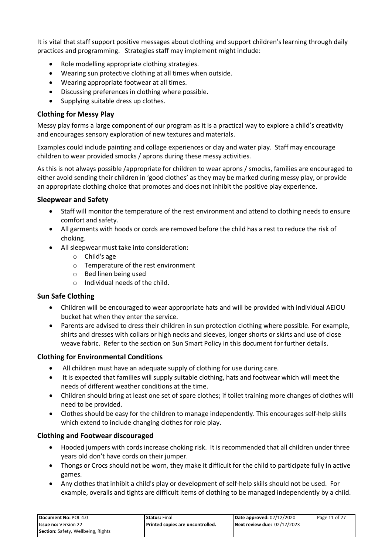It is vital that staff support positive messages about clothing and support children's learning through daily practices and programming. Strategies staff may implement might include:

- Role modelling appropriate clothing strategies.
- Wearing sun protective clothing at all times when outside.
- Wearing appropriate footwear at all times.
- Discussing preferences in clothing where possible.
- Supplying suitable dress up clothes.

#### **Clothing for Messy Play**

Messy play forms a large component of our program as it is a practical way to explore a child's creativity and encourages sensory exploration of new textures and materials.

Examples could include painting and collage experiences or clay and water play. Staff may encourage children to wear provided smocks / aprons during these messy activities.

As this is not always possible /appropriate for children to wear aprons / smocks, families are encouraged to either avoid sending their children in 'good clothes' as they may be marked during messy play, or provide an appropriate clothing choice that promotes and does not inhibit the positive play experience.

#### **Sleepwear and Safety**

- Staff will monitor the temperature of the rest environment and attend to clothing needs to ensure comfort and safety.
- All garments with hoods or cords are removed before the child has a rest to reduce the risk of choking.
- All sleepwear must take into consideration:
	- o Child's age
	- o Temperature of the rest environment
	- o Bed linen being used
	- o Individual needs of the child.

#### **Sun Safe Clothing**

- Children will be encouraged to wear appropriate hats and will be provided with individual AEIOU bucket hat when they enter the service.
- Parents are advised to dress their children in sun protection clothing where possible. For example, shirts and dresses with collars or high necks and sleeves, longer shorts or skirts and use of close weave fabric. Refer to the section on Sun Smart Policy in this document for further details.

#### **Clothing for Environmental Conditions**

- All children must have an adequate supply of clothing for use during care.
- It is expected that families will supply suitable clothing, hats and footwear which will meet the needs of different weather conditions at the time.
- Children should bring at least one set of spare clothes; if toilet training more changes of clothes will need to be provided.
- Clothes should be easy for the children to manage independently. This encourages self-help skills which extend to include changing clothes for role play.

#### **Clothing and Footwear discouraged**

- Hooded jumpers with cords increase choking risk. It is recommended that all children under three years old don't have cords on their jumper.
- Thongs or Crocs should not be worn, they make it difficult for the child to participate fully in active games.
- Any clothes that inhibit a child's play or development of self-help skills should not be used. For example, overalls and tights are difficult items of clothing to be managed independently by a child.

| Document No: POL 4.0                      | <b>Status: Final</b>             | Date approved: 02/12/2020   | Page 11 of 27 |
|-------------------------------------------|----------------------------------|-----------------------------|---------------|
| <b>Issue no: Version 22</b>               | Printed copies are uncontrolled. | Next review due: 02/12/2023 |               |
| <b>Section:</b> Safety, Wellbeing, Rights |                                  |                             |               |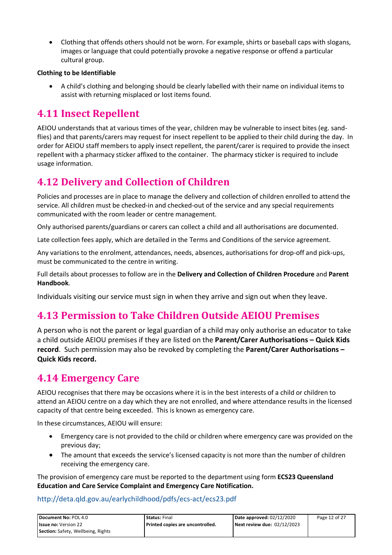• Clothing that offends others should not be worn. For example, shirts or baseball caps with slogans, images or language that could potentially provoke a negative response or offend a particular cultural group.

#### **Clothing to be Identifiable**

• A child's clothing and belonging should be clearly labelled with their name on individual items to assist with returning misplaced or lost items found.

### **4.11 Insect Repellent**

AEIOU understands that at various times of the year, children may be vulnerable to insect bites (eg. sandflies) and that parents/carers may request for insect repellent to be applied to their child during the day. In order for AEIOU staff members to apply insect repellent, the parent/carer is required to provide the insect repellent with a pharmacy sticker affixed to the container. The pharmacy sticker is required to include usage information.

### **4.12 Delivery and Collection of Children**

Policies and processes are in place to manage the delivery and collection of children enrolled to attend the service. All children must be checked-in and checked-out of the service and any special requirements communicated with the room leader or centre management.

Only authorised parents/guardians or carers can collect a child and all authorisations are documented.

Late collection fees apply, which are detailed in the Terms and Conditions of the service agreement.

Any variations to the enrolment, attendances, needs, absences, authorisations for drop-off and pick-ups, must be communicated to the centre in writing.

Full details about processes to follow are in the **Delivery and Collection of Children Procedure** and **Parent Handbook**.

Individuals visiting our service must sign in when they arrive and sign out when they leave.

### **4.13 Permission to Take Children Outside AEIOU Premises**

A person who is not the parent or legal guardian of a child may only authorise an educator to take a child outside AEIOU premises if they are listed on the **Parent/Carer Authorisations – Quick Kids record**. Such permission may also be revoked by completing the **Parent/Carer Authorisations – Quick Kids record.**

### **4.14 Emergency Care**

AEIOU recognises that there may be occasions where it is in the best interests of a child or children to attend an AEIOU centre on a day which they are not enrolled, and where attendance results in the licensed capacity of that centre being exceeded. This is known as emergency care.

In these circumstances, AEIOU will ensure:

- Emergency care is not provided to the child or children where emergency care was provided on the previous day;
- The amount that exceeds the service's licensed capacity is not more than the number of children receiving the emergency care.

The provision of emergency care must be reported to the department using form **ECS23 Queensland Education and Care Service Complaint and Emergency Care Notification.** 

#### <http://deta.qld.gov.au/earlychildhood/pdfs/ecs-act/ecs23.pdf>

| Document No: POL 4.0               | <b>Status: Final</b>               | Date approved: $02/12/2020$ | Page 12 of 27 |
|------------------------------------|------------------------------------|-----------------------------|---------------|
| <b>Issue no: Version 22</b>        | l Printed copies are uncontrolled. | Next review due: 02/12/2023 |               |
| Section: Safety, Wellbeing, Rights |                                    |                             |               |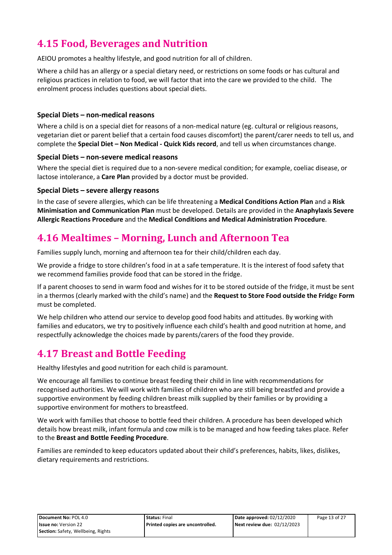# **4.15 Food, Beverages and Nutrition**

AEIOU promotes a healthy lifestyle, and good nutrition for all of children.

Where a child has an allergy or a special dietary need, or restrictions on some foods or has cultural and religious practices in relation to food, we will factor that into the care we provided to the child. The enrolment process includes questions about special diets.

#### **Special Diets – non-medical reasons**

Where a child is on a special diet for reasons of a non-medical nature (eg. cultural or religious reasons, vegetarian diet or parent belief that a certain food causes discomfort) the parent/carer needs to tell us, and complete the **Special Diet – Non Medical - Quick Kids record**, and tell us when circumstances change.

#### **Special Diets – non-severe medical reasons**

Where the special diet is required due to a non-severe medical condition; for example, coeliac disease, or lactose intolerance, a **Care Plan** provided by a doctor must be provided.

#### **Special Diets – severe allergy reasons**

In the case of severe allergies, which can be life threatening a **Medical Conditions Action Plan** and a **Risk Minimisation and Communication Plan** must be developed. Details are provided in the **Anaphylaxis Severe Allergic Reactions Procedure** and the **Medical Conditions and Medical Administration Procedure**.

### **4.16 Mealtimes – Morning, Lunch and Afternoon Tea**

Families supply lunch, morning and afternoon tea for their child/children each day.

We provide a fridge to store children's food in at a safe temperature. It is the interest of food safety that we recommend families provide food that can be stored in the fridge.

If a parent chooses to send in warm food and wishes for it to be stored outside of the fridge, it must be sent in a thermos (clearly marked with the child's name) and the **Request to Store Food outside the Fridg**e **Form**  must be completed.

We help children who attend our service to develop good food habits and attitudes. By working with families and educators, we try to positively influence each child's health and good nutrition at home, and respectfully acknowledge the choices made by parents/carers of the food they provide.

### **4.17 Breast and Bottle Feeding**

Healthy lifestyles and good nutrition for each child is paramount.

We encourage all families to continue breast feeding their child in line with recommendations for recognised authorities. We will work with families of children who are still being breastfed and provide a supportive environment by feeding children breast milk supplied by their families or by providing a supportive environment for mothers to breastfeed.

We work with families that choose to bottle feed their children. A procedure has been developed which details how breast milk, infant formula and cow milk is to be managed and how feeding takes place. Refer to the **Breast and Bottle Feeding Procedure**.

Families are reminded to keep educators updated about their child's preferences, habits, likes, dislikes, dietary requirements and restrictions.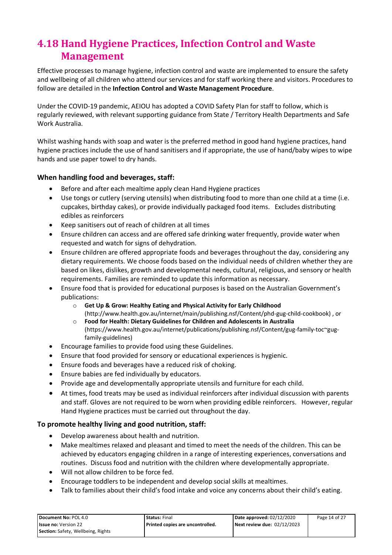# **4.18 Hand Hygiene Practices, Infection Control and Waste Management**

Effective processes to manage hygiene, infection control and waste are implemented to ensure the safety and wellbeing of all children who attend our services and for staff working there and visitors. Procedures to follow are detailed in the **Infection Control and Waste Management Procedure**.

Under the COVID-19 pandemic, AEIOU has adopted a COVID Safety Plan for staff to follow, which is regularly reviewed, with relevant supporting guidance from State / Territory Health Departments and Safe Work Australia.

Whilst washing hands with soap and water is the preferred method in good hand hygiene practices, hand hygiene practices include the use of hand sanitisers and if appropriate, the use of hand/baby wipes to wipe hands and use paper towel to dry hands.

#### **When handling food and beverages, staff:**

- Before and after each mealtime apply clean Hand Hygiene practices
- Use tongs or cutlery (serving utensils) when distributing food to more than one child at a time (i.e. cupcakes, birthday cakes), or provide individually packaged food items. Excludes distributing edibles as reinforcers
- Keep sanitisers out of reach of children at all times
- Ensure children can access and are offered safe drinking water frequently, provide water when requested and watch for signs of dehydration.
- Ensure children are offered appropriate foods and beverages throughout the day, considering any dietary requirements. We choose foods based on the individual needs of children whether they are based on likes, dislikes, growth and developmental needs, cultural, religious, and sensory or health requirements. Families are reminded to update this information as necessary.
- Ensure food that is provided for educational purposes is based on the Australian Government's publications:
	- o **Get Up & Grow: Healthy Eating and Physical Activity for Early Childhood** [\(http://www.health.gov.au/internet/main/publishing.nsf/Content/phd-gug-child-cookbook\)](http://www.health.gov.au/internet/main/publishing.nsf/Content/phd-gug-child-cookbook) , or
	- o **Food for Health: Dietary Guidelines for Children and Adolescents in Australia** [\(https://www.health.gov.au/internet/publications/publishing.nsf/Content/gug-family-toc~gug](https://www.health.gov.au/internet/publications/publishing.nsf/Content/gug-family-toc%7Egug-family-guidelines)[family-guidelines\)](https://www.health.gov.au/internet/publications/publishing.nsf/Content/gug-family-toc%7Egug-family-guidelines)
- Encourage families to provide food using these Guidelines.
- Ensure that food provided for sensory or educational experiences is hygienic.
- Ensure foods and beverages have a reduced risk of choking.
- Ensure babies are fed individually by educators.
- Provide age and developmentally appropriate utensils and furniture for each child.
- At times, food treats may be used as individual reinforcers after individual discussion with parents and staff. Gloves are not required to be worn when providing edible reinforcers. However, regular Hand Hygiene practices must be carried out throughout the day.

#### **To promote healthy living and good nutrition, staff:**

- Develop awareness about health and nutrition.
- Make mealtimes relaxed and pleasant and timed to meet the needs of the children. This can be achieved by educators engaging children in a range of interesting experiences, conversations and routines. Discuss food and nutrition with the children where developmentally appropriate.
- Will not allow children to be force fed.
- Encourage toddlers to be independent and develop social skills at mealtimes.
- Talk to families about their child's food intake and voice any concerns about their child's eating.

| <b>Document No: POL 4.0</b>               | <b>Status: Final</b>             | Date approved: 02/12/2020   | Page 14 of 27 |
|-------------------------------------------|----------------------------------|-----------------------------|---------------|
| <b>Issue no:</b> Version 22               | Printed copies are uncontrolled. | Next review due: 02/12/2023 |               |
| <b>Section:</b> Safety, Wellbeing, Rights |                                  |                             |               |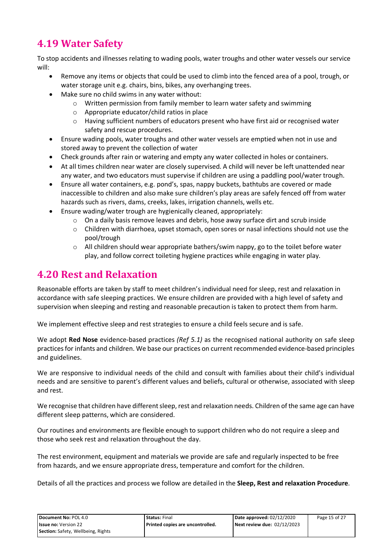# **4.19 Water Safety**

To stop accidents and illnesses relating to wading pools, water troughs and other water vessels our service will:

- Remove any items or objects that could be used to climb into the fenced area of a pool, trough, or water storage unit e.g. chairs, bins, bikes, any overhanging trees.
- Make sure no child swims in any water without:
	- o Written permission from family member to learn water safety and swimming
	- o Appropriate educator/child ratios in place
	- o Having sufficient numbers of educators present who have first aid or recognised water safety and rescue procedures.
- Ensure wading pools, water troughs and other water vessels are emptied when not in use and stored away to prevent the collection of water
- Check grounds after rain or watering and empty any water collected in holes or containers.
- At all times children near water are closely supervised. A child will never be left unattended near any water, and two educators must supervise if children are using a paddling pool/water trough.
- Ensure all water containers, e.g. pond's, spas, nappy buckets, bathtubs are covered or made inaccessible to children and also make sure children's play areas are safely fenced off from water hazards such as rivers, dams, creeks, lakes, irrigation channels, wells etc.
- Ensure wading/water trough are hygienically cleaned, appropriately:
	- $\circ$  On a daily basis remove leaves and debris, hose away surface dirt and scrub inside
	- o Children with diarrhoea, upset stomach, open sores or nasal infections should not use the pool/trough
	- $\circ$  All children should wear appropriate bathers/swim nappy, go to the toilet before water play, and follow correct toileting hygiene practices while engaging in water play.

### **4.20 Rest and Relaxation**

Reasonable efforts are taken by staff to meet children's individual need for sleep, rest and relaxation in accordance with safe sleeping practices. We ensure children are provided with a high level of safety and supervision when sleeping and resting and reasonable precaution is taken to protect them from harm.

We implement effective sleep and rest strategies to ensure a child feels secure and is safe.

We adopt **Red Nose** evidence-based practices *(Ref 5.1)* as the recognised national authority on safe sleep practices for infants and children. We base our practices on current recommended evidence-based principles and guidelines.

We are responsive to individual needs of the child and consult with families about their child's individual needs and are sensitive to parent's different values and beliefs, cultural or otherwise, associated with sleep and rest.

We recognise that children have different sleep, rest and relaxation needs. Children of the same age can have different sleep patterns, which are considered.

Our routines and environments are flexible enough to support children who do not require a sleep and those who seek rest and relaxation throughout the day.

The rest environment, equipment and materials we provide are safe and regularly inspected to be free from hazards, and we ensure appropriate dress, temperature and comfort for the children.

Details of all the practices and process we follow are detailed in the **Sleep, Rest and relaxation Procedure**.

| Document No: POL 4.0               | <b>Status: Final</b>             | Date approved: 02/12/2020   | Page 15 of 27 |
|------------------------------------|----------------------------------|-----------------------------|---------------|
| <b>Issue no: Version 22</b>        | Printed copies are uncontrolled. | Next review due: 02/12/2023 |               |
| Section: Safety, Wellbeing, Rights |                                  |                             |               |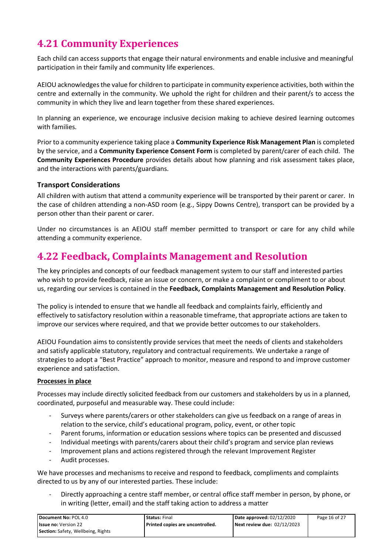# **4.21 Community Experiences**

Each child can access supports that engage their natural environments and enable inclusive and meaningful participation in their family and community life experiences.

AEIOU acknowledges the value for children to participate in community experience activities, both within the centre and externally in the community. We uphold the right for children and their parent/s to access the community in which they live and learn together from these shared experiences.

In planning an experience, we encourage inclusive decision making to achieve desired learning outcomes with families.

Prior to a community experience taking place a **Community Experience Risk Management Plan** is completed by the service, and a **Community Experience Consent Form** is completed by parent/carer of each child. The **Community Experiences Procedure** provides details about how planning and risk assessment takes place, and the interactions with parents/guardians.

#### **Transport Considerations**

All children with autism that attend a community experience will be transported by their parent or carer. In the case of children attending a non-ASD room (e.g., Sippy Downs Centre), transport can be provided by a person other than their parent or carer.

Under no circumstances is an AEIOU staff member permitted to transport or care for any child while attending a community experience.

### **4.22 Feedback, Complaints Management and Resolution**

The key principles and concepts of our feedback management system to our staff and interested parties who wish to provide feedback, raise an issue or concern, or make a complaint or compliment to or about us, regarding our services is contained in the **Feedback, Complaints Management and Resolution Policy**.

The policy is intended to ensure that we handle all feedback and complaints fairly, efficiently and effectively to satisfactory resolution within a reasonable timeframe, that appropriate actions are taken to improve our services where required, and that we provide better outcomes to our stakeholders.

AEIOU Foundation aims to consistently provide services that meet the needs of clients and stakeholders and satisfy applicable statutory, regulatory and contractual requirements. We undertake a range of strategies to adopt a "Best Practice" approach to monitor, measure and respond to and improve customer experience and satisfaction.

#### **Processes in place**

Processes may include directly solicited feedback from our customers and stakeholders by us in a planned, coordinated, purposeful and measurable way. These could include:

- Surveys where parents/carers or other stakeholders can give us feedback on a range of areas in relation to the service, child's educational program, policy, event, or other topic
- Parent forums, information or education sessions where topics can be presented and discussed
- Individual meetings with parents/carers about their child's program and service plan reviews
- Improvement plans and actions registered through the relevant Improvement Register
- Audit processes.

We have processes and mechanisms to receive and respond to feedback, compliments and complaints directed to us by any of our interested parties. These include:

Directly approaching a centre staff member, or central office staff member in person, by phone, or in writing (letter, email) and the staff taking action to address a matter

| Document No: POL 4.0               | <b>Status: Final</b>               | Date approved: 02/12/2020   | Page 16 of 27 |
|------------------------------------|------------------------------------|-----------------------------|---------------|
| <b>Issue no: Version 22</b>        | l Printed copies are uncontrolled. | Next review due: 02/12/2023 |               |
| Section: Safety, Wellbeing, Rights |                                    |                             |               |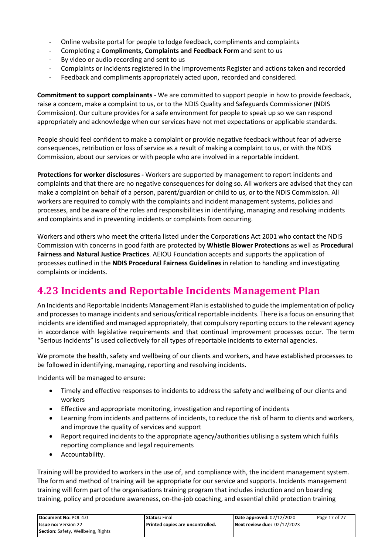- Online website portal for people to lodge feedback, compliments and complaints
- Completing a **Compliments, Complaints and Feedback Form** and sent to us
- By video or audio recording and sent to us
- Complaints or incidents registered in the Improvements Register and actions taken and recorded
- Feedback and compliments appropriately acted upon, recorded and considered.

**Commitment to support complainants** - We are committed to support people in how to provide feedback, raise a concern, make a complaint to us, or to the NDIS Quality and Safeguards Commissioner (NDIS Commission). Our culture provides for a safe environment for people to speak up so we can respond appropriately and acknowledge when our services have not met expectations or applicable standards.

People should feel confident to make a complaint or provide negative feedback without fear of adverse consequences, retribution or loss of service as a result of making a complaint to us, or with the NDIS Commission, about our services or with people who are involved in a reportable incident.

**Protections for worker disclosures -** Workers are supported by management to report incidents and complaints and that there are no negative consequences for doing so. All workers are advised that they can make a complaint on behalf of a person, parent/guardian or child to us, or to the NDIS Commission. All workers are required to comply with the complaints and incident management systems, policies and processes, and be aware of the roles and responsibilities in identifying, managing and resolving incidents and complaints and in preventing incidents or complaints from occurring.

Workers and others who meet the criteria listed under the Corporations Act 2001 who contact the NDIS Commission with concerns in good faith are protected by **Whistle Blower Protections** as well as **Procedural Fairness and Natural Justice Practices**. AEIOU Foundation accepts and supports the application of processes outlined in the **NDIS Procedural Fairness Guidelines** in relation to handling and investigating complaints or incidents.

### **4.23 Incidents and Reportable Incidents Management Plan**

An Incidents and Reportable Incidents Management Plan is established to guide the implementation of policy and processes to manage incidents and serious/critical reportable incidents. There is a focus on ensuring that incidents are identified and managed appropriately, that compulsory reporting occurs to the relevant agency in accordance with legislative requirements and that continual improvement processes occur. The term "Serious Incidents" is used collectively for all types of reportable incidents to external agencies.

We promote the health, safety and wellbeing of our clients and workers, and have established processes to be followed in identifying, managing, reporting and resolving incidents.

Incidents will be managed to ensure:

- Timely and effective responses to incidents to address the safety and wellbeing of our clients and workers
- Effective and appropriate monitoring, investigation and reporting of incidents
- Learning from incidents and patterns of incidents, to reduce the risk of harm to clients and workers, and improve the quality of services and support
- Report required incidents to the appropriate agency/authorities utilising a system which fulfils reporting compliance and legal requirements
- Accountability.

Training will be provided to workers in the use of, and compliance with, the incident management system. The form and method of training will be appropriate for our service and supports. Incidents management training will form part of the organisations training program that includes induction and on boarding training, policy and procedure awareness, on-the-job coaching, and essential child protection training

| Document No: POL 4.0               | <b>Status: Final</b>               | Date approved: 02/12/2020   | Page 17 of 27 |
|------------------------------------|------------------------------------|-----------------------------|---------------|
| <b>Issue no: Version 22</b>        | l Printed copies are uncontrolled. | Next review due: 02/12/2023 |               |
| Section: Safety, Wellbeing, Rights |                                    |                             |               |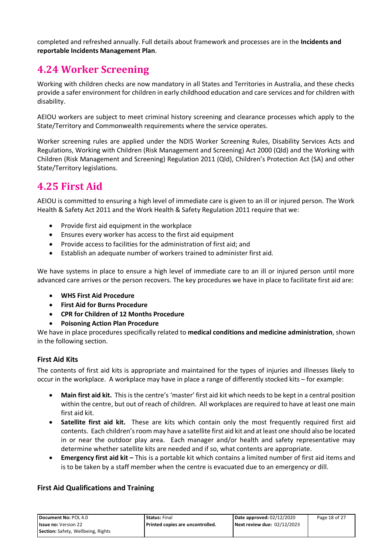completed and refreshed annually. Full details about framework and processes are in the **Incidents and reportable Incidents Management Plan**.

### **4.24 Worker Screening**

Working with children checks are now mandatory in all States and Territories in Australia, and these checks provide a safer environment for children in early childhood education and care services and for children with disability.

AEIOU workers are subject to meet criminal history screening and clearance processes which apply to the State/Territory and Commonwealth requirements where the service operates.

Worker screening rules are applied under the NDIS Worker Screening Rules, Disability Services Acts and Regulations, Working with Children (Risk Management and Screening) Act 2000 (Qld) and the Working with Children (Risk Management and Screening) Regulation 2011 (Qld), Children's Protection Act (SA) and other State/Territory legislations.

### **4.25 First Aid**

AEIOU is committed to ensuring a high level of immediate care is given to an ill or injured person. The Work Health & Safety Act 2011 and the Work Health & Safety Regulation 2011 require that we:

- Provide first aid equipment in the workplace
- Ensures every worker has access to the first aid equipment
- Provide access to facilities for the administration of first aid; and
- Establish an adequate number of workers trained to administer first aid.

We have systems in place to ensure a high level of immediate care to an ill or injured person until more advanced care arrives or the person recovers. The key procedures we have in place to facilitate first aid are:

- **WHS First Aid Procedure**
- **First Aid for Burns Procedure**
- **CPR for Children of 12 Months Procedure**
- **Poisoning Action Plan Procedure**

We have in place procedures specifically related to **medical conditions and medicine administration**, shown in the following section.

#### **First Aid Kits**

The contents of first aid kits is appropriate and maintained for the types of injuries and illnesses likely to occur in the workplace. A workplace may have in place a range of differently stocked kits – for example:

- **Main first aid kit.** This is the centre's 'master' first aid kit which needs to be kept in a central position within the centre, but out of reach of children. All workplaces are required to have at least one main first aid kit.
- **Satellite first aid kit.** These are kits which contain only the most frequently required first aid contents. Each children's room may have a satellite first aid kit and at least one should also be located in or near the outdoor play area. Each manager and/or health and safety representative may determine whether satellite kits are needed and if so, what contents are appropriate.
- **Emergency first aid kit –** This is a portable kit which contains a limited number of first aid items and is to be taken by a staff member when the centre is evacuated due to an emergency or dill.

#### **First Aid Qualifications and Training**

| Document No: POL 4.0               | <b>Status: Final</b>             | Date approved: 02/12/2020   | Page 18 of 27 |
|------------------------------------|----------------------------------|-----------------------------|---------------|
| <b>Issue no: Version 22</b>        | Printed copies are uncontrolled. | Next review due: 02/12/2023 |               |
| Section: Safety, Wellbeing, Rights |                                  |                             |               |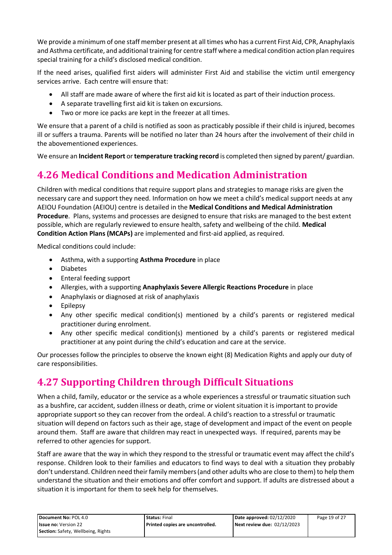We provide a minimum of one staff member present at all times who has a current First Aid, CPR, Anaphylaxis and Asthma certificate, and additional training for centre staff where a medical condition action plan requires special training for a child's disclosed medical condition.

If the need arises, qualified first aiders will administer First Aid and stabilise the victim until emergency services arrive. Each centre will ensure that:

- All staff are made aware of where the first aid kit is located as part of their induction process.
- A separate travelling first aid kit is taken on excursions.
- Two or more ice packs are kept in the freezer at all times.

We ensure that a parent of a child is notified as soon as practicably possible if their child is injured, becomes ill or suffers a trauma. Parents will be notified no later than 24 hours after the involvement of their child in the abovementioned experiences.

We ensure an **Incident Report** or **temperature tracking record** is completed then signed by parent/ guardian.

# **4.26 Medical Conditions and Medication Administration**

Children with medical conditions that require support plans and strategies to manage risks are given the necessary care and support they need. Information on how we meet a child's medical support needs at any AEIOU Foundation (AEIOU) centre is detailed in the **Medical Conditions and Medical Administration Procedure**. Plans, systems and processes are designed to ensure that risks are managed to the best extent possible, which are regularly reviewed to ensure health, safety and wellbeing of the child. **Medical Condition Action Plans (MCAPs)** are implemented and first-aid applied, as required.

Medical conditions could include:

- Asthma, with a supporting **Asthma Procedure** in place
- Diabetes
- Enteral feeding support
- Allergies, with a supporting **Anaphylaxis Severe Allergic Reactions Procedure** in place
- Anaphylaxis or diagnosed at risk of anaphylaxis
- Epilepsy
- Any other specific medical condition(s) mentioned by a child's parents or registered medical practitioner during enrolment.
- Any other specific medical condition(s) mentioned by a child's parents or registered medical practitioner at any point during the child's education and care at the service.

Our processes follow the principles to observe the known eight (8) Medication Rights and apply our duty of care responsibilities.

### **4.27 Supporting Children through Difficult Situations**

When a child, family, educator or the service as a whole experiences a stressful or traumatic situation such as a bushfire, car accident, sudden illness or death, crime or violent situation it is important to provide appropriate support so they can recover from the ordeal. A child's reaction to a stressful or traumatic situation will depend on factors such as their age, stage of development and impact of the event on people around them. Staff are aware that children may react in unexpected ways. If required, parents may be referred to other agencies for support.

Staff are aware that the way in which they respond to the stressful or traumatic event may affect the child's response. Children look to their families and educators to find ways to deal with a situation they probably don't understand. Children need their family members (and other adults who are close to them) to help them understand the situation and their emotions and offer comfort and support. If adults are distressed about a situation it is important for them to seek help for themselves.

| Document No: POL 4.0               | <b>Status: Final</b>             | Date approved: 02/12/2020   | Page 19 of 27 |
|------------------------------------|----------------------------------|-----------------------------|---------------|
| <b>Issue no: Version 22</b>        | Printed copies are uncontrolled. | Next review due: 02/12/2023 |               |
| Section: Safety, Wellbeing, Rights |                                  |                             |               |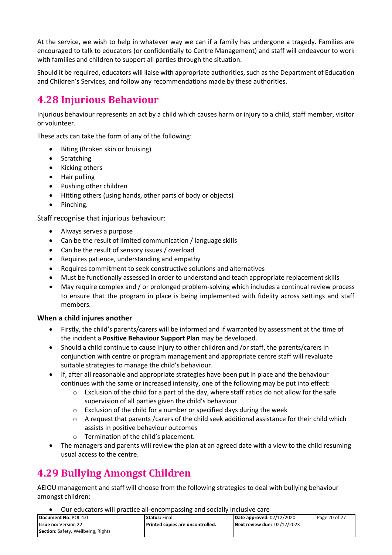At the service, we wish to help in whatever way we can if a family has undergone a tragedy. Families are encouraged to talk to educators (or confidentially to Centre Management) and staff will endeavour to work with families and children to support all parties through the situation.

Should it be required, educators will liaise with appropriate authorities, such as the Department of Education and Children's Services, and follow any recommendations made by these authorities.

### **4.28 Injurious Behaviour**

Injurious behaviour represents an act by a child which causes harm or injury to a child, staff member, visitor or volunteer.

These acts can take the form of any of the following:

- Biting (Broken skin or bruising)
- Scratching
- Kicking others
- Hair pulling
- Pushing other children
- Hitting others (using hands, other parts of body or objects)
- Pinching.

Staff recognise that injurious behaviour:

- Always serves a purpose
- Can be the result of limited communication / language skills
- Can be the result of sensory issues / overload
- Requires patience, understanding and empathy
- Requires commitment to seek constructive solutions and alternatives
- Must be functionally assessed in order to understand and teach appropriate replacement skills
- May require complex and / or prolonged problem-solving which includes a continual review process to ensure that the program in place is being implemented with fidelity across settings and staff members.

#### **When a child injures another**

- Firstly, the child's parents/carers will be informed and if warranted by assessment at the time of the incident a **Positive Behaviour Support Plan** may be developed.
- Should a child continue to cause injury to other children and /or staff, the parents/carers in conjunction with centre or program management and appropriate centre staff will revaluate suitable strategies to manage the child's behaviour.
- If, after all reasonable and appropriate strategies have been put in place and the behaviour continues with the same or increased intensity, one of the following may be put into effect:
	- $\circ$  Exclusion of the child for a part of the day, where staff ratios do not allow for the safe supervision of all parties given the child's behaviour
	- $\circ$  Exclusion of the child for a number or specified days during the week
	- o A request that parents /carers of the child seek additional assistance for their child which assists in positive behaviour outcomes
	- o Termination of the child's placement.
- The managers and parents will review the plan at an agreed date with a view to the child resuming usual access to the centre.

# **4.29 Bullying Amongst Children**

AEIOU management and staff will choose from the following strategies to deal with bullying behaviour amongst children:

• Our educators will practice all-encompassing and socially inclusive care

| Document No: POL 4.0               | <b>Status: Final</b>               | Date approved: 02/12/2020   | Page 20 of 27 |
|------------------------------------|------------------------------------|-----------------------------|---------------|
| <b>Issue no: Version 22</b>        | l Printed copies are uncontrolled. | Next review due: 02/12/2023 |               |
| Section: Safety, Wellbeing, Rights |                                    |                             |               |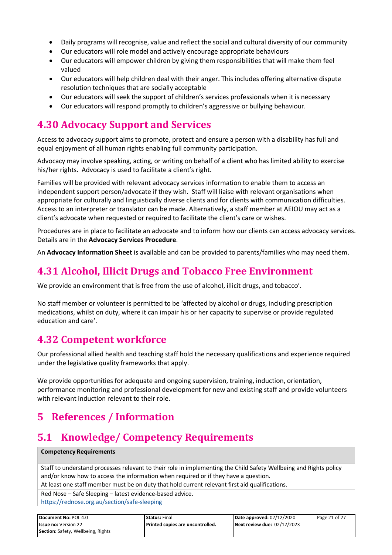- Daily programs will recognise, value and reflect the social and cultural diversity of our community
- Our educators will role model and actively encourage appropriate behaviours
- Our educators will empower children by giving them responsibilities that will make them feel valued
- Our educators will help children deal with their anger. This includes offering alternative dispute resolution techniques that are socially acceptable
- Our educators will seek the support of children's services professionals when it is necessary
- Our educators will respond promptly to children's aggressive or bullying behaviour.

### **4.30 Advocacy Support and Services**

Access to advocacy support aims to promote, protect and ensure a person with a disability has full and equal enjoyment of all human rights enabling full community participation.

Advocacy may involve speaking, acting, or writing on behalf of a client who has limited ability to exercise his/her rights. Advocacy is used to facilitate a client's right.

Families will be provided with relevant advocacy services information to enable them to access an independent support person/advocate if they wish. Staff will liaise with relevant organisations when appropriate for culturally and linguistically diverse clients and for clients with communication difficulties. Access to an interpreter or translator can be made. Alternatively, a staff member at AEIOU may act as a client's advocate when requested or required to facilitate the client's care or wishes.

Procedures are in place to facilitate an advocate and to inform how our clients can access advocacy services. Details are in the **Advocacy Services Procedure**.

An **Advocacy Information Sheet** is available and can be provided to parents/families who may need them.

### **4.31 Alcohol, Illicit Drugs and Tobacco Free Environment**

We provide an environment that is free from the use of alcohol, illicit drugs, and tobacco'.

No staff member or volunteer is permitted to be 'affected by alcohol or drugs, including prescription medications, whilst on duty, where it can impair his or her capacity to supervise or provide regulated education and care'.

### **4.32 Competent workforce**

Our professional allied health and teaching staff hold the necessary qualifications and experience required under the legislative quality frameworks that apply.

We provide opportunities for adequate and ongoing supervision, training, induction, orientation, performance monitoring and professional development for new and existing staff and provide volunteers with relevant induction relevant to their role.

# **5 References / Information**

### **5.1 Knowledge/ Competency Requirements**

#### **Competency Requirements**

Staff to understand processes relevant to their role in implementing the Child Safety Wellbeing and Rights policy and/or know how to access the information when required or if they have a question.

At least one staff member must be on duty that hold current relevant first aid qualifications.

Red Nose – Safe Sleeping – latest evidence-based advice.

<https://rednose.org.au/section/safe-sleeping>

| Document No: POL 4.0               | <b>Status: Final</b>               | Date approved: 02/12/2020   | Page 21 of 27 |
|------------------------------------|------------------------------------|-----------------------------|---------------|
| <b>Issue no: Version 22</b>        | l Printed copies are uncontrolled. | Next review due: 02/12/2023 |               |
| Section: Safety, Wellbeing, Rights |                                    |                             |               |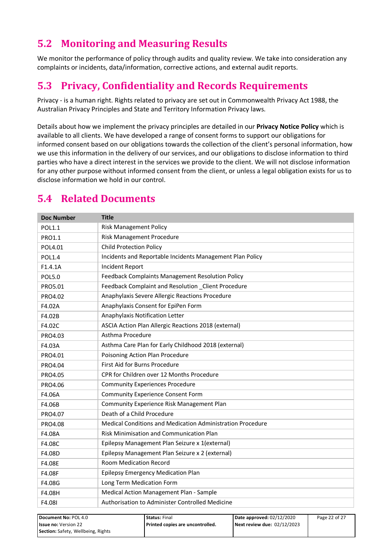# **5.2 Monitoring and Measuring Results**

We monitor the performance of policy through audits and quality review. We take into consideration any complaints or incidents, data/information, corrective actions, and external audit reports.

### **5.3 Privacy, Confidentiality and Records Requirements**

Privacy - is a human right. Rights related to privacy are set out in Commonwealth Privacy Act 1988, the Australian Privacy Principles and State and Territory Information Privacy laws.

Details about how we implement the privacy principles are detailed in our **Privacy Notice Policy** which is available to all clients. We have developed a range of consent forms to support our obligations for informed consent based on our obligations towards the collection of the client's personal information, how we use this information in the delivery of our services, and our obligations to disclose information to third parties who have a direct interest in the services we provide to the client. We will not disclose information for any other purpose without informed consent from the client, or unless a legal obligation exists for us to disclose information we hold in our control.

# **5.4 Related Documents**

**Section:** Safety, Wellbeing, Rights

| <b>Doc Number</b>           | <b>Title</b>                                    |                                                            |                             |               |
|-----------------------------|-------------------------------------------------|------------------------------------------------------------|-----------------------------|---------------|
| <b>POL1.1</b>               |                                                 | <b>Risk Management Policy</b>                              |                             |               |
| PRO1.1                      |                                                 | Risk Management Procedure                                  |                             |               |
| POL4.01                     | <b>Child Protection Policy</b>                  |                                                            |                             |               |
| <b>POL1.4</b>               |                                                 | Incidents and Reportable Incidents Management Plan Policy  |                             |               |
| F1.4.1A                     | <b>Incident Report</b>                          |                                                            |                             |               |
| <b>POL5.0</b>               |                                                 | Feedback Complaints Management Resolution Policy           |                             |               |
| PRO5.01                     |                                                 | Feedback Complaint and Resolution _Client Procedure        |                             |               |
| PRO4.02                     |                                                 | Anaphylaxis Severe Allergic Reactions Procedure            |                             |               |
| F4.02A                      |                                                 | Anaphylaxis Consent for EpiPen Form                        |                             |               |
| F4.02B                      | Anaphylaxis Notification Letter                 |                                                            |                             |               |
| F4.02C                      |                                                 | ASCIA Action Plan Allergic Reactions 2018 (external)       |                             |               |
| PRO4.03                     | Asthma Procedure                                |                                                            |                             |               |
| F4.03A                      |                                                 | Asthma Care Plan for Early Childhood 2018 (external)       |                             |               |
| PRO4.01                     |                                                 | Poisoning Action Plan Procedure                            |                             |               |
| PRO4.04                     | First Aid for Burns Procedure                   |                                                            |                             |               |
| PRO4.05                     |                                                 | CPR for Children over 12 Months Procedure                  |                             |               |
| PRO4.06                     |                                                 | <b>Community Experiences Procedure</b>                     |                             |               |
| F4.06A                      | <b>Community Experience Consent Form</b>        |                                                            |                             |               |
| F4.06B                      | Community Experience Risk Management Plan       |                                                            |                             |               |
| PRO4.07                     | Death of a Child Procedure                      |                                                            |                             |               |
| PRO4.08                     |                                                 | Medical Conditions and Medication Administration Procedure |                             |               |
| F4.08A                      |                                                 | Risk Minimisation and Communication Plan                   |                             |               |
| F4.08C                      |                                                 | Epilepsy Management Plan Seizure x 1(external)             |                             |               |
| F4.08D                      |                                                 | Epilepsy Management Plan Seizure x 2 (external)            |                             |               |
| F4.08E                      |                                                 | <b>Room Medication Record</b>                              |                             |               |
| F4.08F                      | Epilepsy Emergency Medication Plan              |                                                            |                             |               |
| F4.08G                      | Long Term Medication Form                       |                                                            |                             |               |
| F4.08H                      | Medical Action Management Plan - Sample         |                                                            |                             |               |
| F4.08I                      | Authorisation to Administer Controlled Medicine |                                                            |                             |               |
| Document No: POL 4.0        |                                                 | <b>Status: Final</b>                                       | Date approved: 02/12/2020   | Page 22 of 27 |
| <b>Issue no: Version 22</b> |                                                 | Printed copies are uncontrolled.                           | Next review due: 02/12/2023 |               |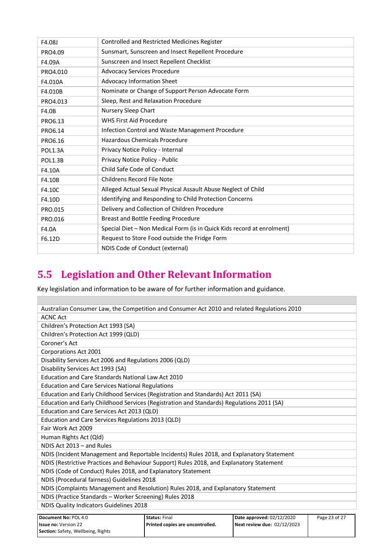| F4.08J         | Controlled and Restricted Medicines Register                           |
|----------------|------------------------------------------------------------------------|
| PRO4.09        | Sunsmart, Sunscreen and Insect Repellent Procedure                     |
| F4.09A         | Sunscreen and Insect Repellent Checklist                               |
| PRO4.010       | <b>Advocacy Services Procedure</b>                                     |
| F4.010A        | Advocacy Information Sheet                                             |
| F4.010B        | Nominate or Change of Support Person Advocate Form                     |
| PRO4.013       | Sleep, Rest and Relaxation Procedure                                   |
| F4.0B          | Nursery Sleep Chart                                                    |
| PRO6.13        | <b>WHS First Aid Procedure</b>                                         |
| PRO6.14        | Infection Control and Waste Management Procedure                       |
| PRO6.16        | Hazardous Chemicals Procedure                                          |
| POL1.3A        | Privacy Notice Policy - Internal                                       |
| <b>POL1.3B</b> | Privacy Notice Policy - Public                                         |
| F4.10A         | Child Safe Code of Conduct                                             |
| F4.10B         | Childrens Record File Note                                             |
| F4.10C         | Alleged Actual Sexual Physical Assault Abuse Neglect of Child          |
| F4.10D         | Identifying and Responding to Child Protection Concerns                |
| PRO.015        | Delivery and Collection of Children Procedure                          |
| PRO.016        | <b>Breast and Bottle Feeding Procedure</b>                             |
| F4.0A          | Special Diet - Non Medical Form (is in Quick Kids record at enrolment) |
| F6.12D         | Request to Store Food outside the Fridge Form                          |
|                | NDIS Code of Conduct (external)                                        |

# **5.5 Legislation and Other Relevant Information**

Г

Key legislation and information to be aware of for further information and guidance.

| Australian Consumer Law, the Competition and Consumer Act 2010 and related Regulations 2010 |                                  |                             |               |  |
|---------------------------------------------------------------------------------------------|----------------------------------|-----------------------------|---------------|--|
| <b>ACNC Act</b>                                                                             |                                  |                             |               |  |
| Children's Protection Act 1993 (SA)                                                         |                                  |                             |               |  |
| Children's Protection Act 1999 (QLD)                                                        |                                  |                             |               |  |
| Coroner's Act                                                                               |                                  |                             |               |  |
| Corporations Act 2001                                                                       |                                  |                             |               |  |
| Disability Services Act 2006 and Regulations 2006 (QLD)                                     |                                  |                             |               |  |
| Disability Services Act 1993 (SA)                                                           |                                  |                             |               |  |
| <b>Education and Care Standards National Law Act 2010</b>                                   |                                  |                             |               |  |
| <b>Education and Care Services National Regulations</b>                                     |                                  |                             |               |  |
| Education and Early Childhood Services (Registration and Standards) Act 2011 (SA)           |                                  |                             |               |  |
| Education and Early Childhood Services (Registration and Standards) Regulations 2011 (SA)   |                                  |                             |               |  |
| Education and Care Services Act 2013 (QLD)                                                  |                                  |                             |               |  |
| Education and Care Services Regulations 2013 (QLD)                                          |                                  |                             |               |  |
| Fair Work Act 2009                                                                          |                                  |                             |               |  |
| Human Rights Act (Qld)                                                                      |                                  |                             |               |  |
| NDIS Act 2013 - and Rules                                                                   |                                  |                             |               |  |
| NDIS (Incident Management and Reportable Incidents) Rules 2018, and Explanatory Statement   |                                  |                             |               |  |
| NDIS (Restrictive Practices and Behaviour Support) Rules 2018, and Explanatory Statement    |                                  |                             |               |  |
| NDIS (Code of Conduct) Rules 2018, and Explanatory Statement                                |                                  |                             |               |  |
| NDIS (Procedural fairness) Guidelines 2018                                                  |                                  |                             |               |  |
| NDIS (Complaints Management and Resolution) Rules 2018, and Explanatory Statement           |                                  |                             |               |  |
| NDIS (Practice Standards - Worker Screening) Rules 2018                                     |                                  |                             |               |  |
| NDIS Quality Indicators Guidelines 2018                                                     |                                  |                             |               |  |
|                                                                                             |                                  |                             |               |  |
| Document No: POL 4.0                                                                        | <b>Status: Final</b>             | Date approved: 02/12/2020   | Page 23 of 27 |  |
| <b>Issue no: Version 22</b>                                                                 | Printed copies are uncontrolled. | Next review due: 02/12/2023 |               |  |
| Section: Safety, Wellbeing, Rights                                                          |                                  |                             |               |  |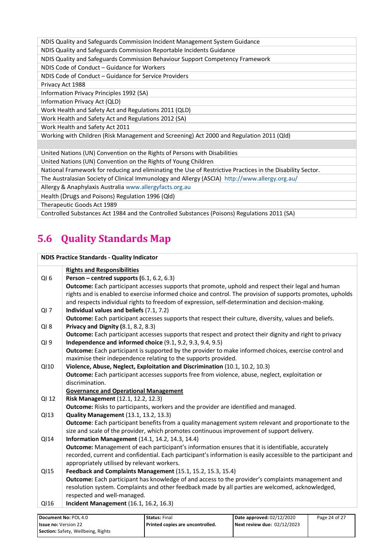NDIS Quality and Safeguards Commission Incident Management System Guidance NDIS Quality and Safeguards Commission Reportable Incidents Guidance NDIS Quality and Safeguards Commission Behaviour Support Competency Framework NDIS Code of Conduct – Guidance for Workers NDIS Code of Conduct – Guidance for Service Providers Privacy Act 1988 Information Privacy Principles 1992 (SA) Information Privacy Act (QLD) Work Health and Safety Act and Regulations 2011 (QLD) Work Health and Safety Act and Regulations 2012 (SA) Work Health and Safety Act 2011 Working with Children (Risk Management and Screening) Act 2000 and Regulation 2011 (Qld) United Nations (UN) Convention on the Rights of Persons with Disabilities United Nations (UN) Convention on the Rights of Young Children National Framework for reducing and eliminating the Use of Restrictive Practices in the Disability Sector. The Australasian Society of Clinical Immunology and Allergy (ASCIA) <http://www.allergy.org.au/> Allergy & Anaphylaxis Australi[a www.allergyfacts.org.au](http://www.allergyfacts.org.au/) Health (Drugs and Poisons) Regulation 1996 (Qld) Therapeutic Goods Act 1989 Controlled Substances Act 1984 and the Controlled Substances (Poisons) Regulations 2011 (SA)

# **5.6 Quality Standards Map**

| <b>NDIS Practice Standards - Quality Indicator</b> |                                                                                                                                                                                                                     |  |
|----------------------------------------------------|---------------------------------------------------------------------------------------------------------------------------------------------------------------------------------------------------------------------|--|
|                                                    | <b>Rights and Responsibilities</b>                                                                                                                                                                                  |  |
| QI <sub>6</sub>                                    | Person – centred supports $(6.1, 6.2, 6.3)$                                                                                                                                                                         |  |
|                                                    | Outcome: Each participant accesses supports that promote, uphold and respect their legal and human<br>rights and is enabled to exercise informed choice and control. The provision of supports promotes, upholds    |  |
| $QI$ 7                                             | and respects individual rights to freedom of expression, self-determination and decision-making.<br>Individual values and beliefs (7.1, 7.2)                                                                        |  |
|                                                    | Outcome: Each participant accesses supports that respect their culture, diversity, values and beliefs.                                                                                                              |  |
| QI8                                                | Privacy and Dignity (8.1, 8.2, 8.3)                                                                                                                                                                                 |  |
| QI <sub>9</sub>                                    | Outcome: Each participant accesses supports that respect and protect their dignity and right to privacy<br>Independence and informed choice (9.1, 9.2, 9.3, 9.4, 9.5)                                               |  |
|                                                    | <b>Outcome:</b> Each participant is supported by the provider to make informed choices, exercise control and<br>maximise their independence relating to the supports provided.                                      |  |
| QI10                                               | Violence, Abuse, Neglect, Exploitation and Discrimination (10.1, 10.2, 10.3)                                                                                                                                        |  |
|                                                    | Outcome: Each participant accesses supports free from violence, abuse, neglect, exploitation or                                                                                                                     |  |
|                                                    | discrimination.                                                                                                                                                                                                     |  |
|                                                    | <b>Governance and Operational Management</b>                                                                                                                                                                        |  |
| QI 12                                              | Risk Management (12.1, 12.2, 12.3)                                                                                                                                                                                  |  |
|                                                    | Outcome: Risks to participants, workers and the provider are identified and managed.                                                                                                                                |  |
| Q113                                               | <b>Quality Management</b> (13.1, 13.2, 13.3)                                                                                                                                                                        |  |
|                                                    | Outcome: Each participant benefits from a quality management system relevant and proportionate to the<br>size and scale of the provider, which promotes continuous improvement of support delivery.                 |  |
| QI14                                               | <b>Information Management</b> (14.1, 14.2, 14.3, 14.4)                                                                                                                                                              |  |
|                                                    | Outcome: Management of each participant's information ensures that it is identifiable, accurately<br>recorded, current and confidential. Each participant's information is easily accessible to the participant and |  |
|                                                    | appropriately utilised by relevant workers.                                                                                                                                                                         |  |
| QI15                                               | Feedback and Complaints Management (15.1, 15.2, 15.3, 15.4)                                                                                                                                                         |  |
|                                                    | Outcome: Each participant has knowledge of and access to the provider's complaints management and                                                                                                                   |  |
|                                                    | resolution system. Complaints and other feedback made by all parties are welcomed, acknowledged,                                                                                                                    |  |
|                                                    | respected and well-managed.                                                                                                                                                                                         |  |
| QI16                                               | <b>Incident Management</b> (16.1, 16.2, 16.3)                                                                                                                                                                       |  |

| <b>Document No: POL 4.0</b>               | <b>Status: Final</b>             | Date approved: 02/12/2020   | Page 24 of 27 |
|-------------------------------------------|----------------------------------|-----------------------------|---------------|
| <b>Issue no:</b> Version 22               | Printed copies are uncontrolled. | Next review due: 02/12/2023 |               |
| <b>Section:</b> Safety, Wellbeing, Rights |                                  |                             |               |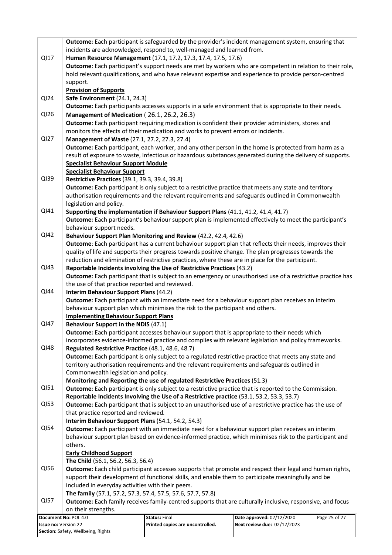|                      | Outcome: Each participant is safeguarded by the provider's incident management system, ensuring that                                                                                                    |                                                                                                             |                             |               |
|----------------------|---------------------------------------------------------------------------------------------------------------------------------------------------------------------------------------------------------|-------------------------------------------------------------------------------------------------------------|-----------------------------|---------------|
|                      | incidents are acknowledged, respond to, well-managed and learned from.                                                                                                                                  |                                                                                                             |                             |               |
| QI17                 | Human Resource Management (17.1, 17.2, 17.3, 17.4, 17.5, 17.6)                                                                                                                                          |                                                                                                             |                             |               |
|                      | Outcome: Each participant's support needs are met by workers who are competent in relation to their role,                                                                                               |                                                                                                             |                             |               |
|                      |                                                                                                                                                                                                         | hold relevant qualifications, and who have relevant expertise and experience to provide person-centred      |                             |               |
|                      | support.                                                                                                                                                                                                |                                                                                                             |                             |               |
|                      | <b>Provision of Supports</b>                                                                                                                                                                            |                                                                                                             |                             |               |
| QI24                 | Safe Environment (24.1, 24.3)                                                                                                                                                                           |                                                                                                             |                             |               |
|                      |                                                                                                                                                                                                         | Outcome: Each participants accesses supports in a safe environment that is appropriate to their needs.      |                             |               |
| QI26                 | Management of Medication (26.1, 26.2, 26.3)                                                                                                                                                             |                                                                                                             |                             |               |
|                      | Outcome: Each participant requiring medication is confident their provider administers, stores and                                                                                                      |                                                                                                             |                             |               |
|                      |                                                                                                                                                                                                         | monitors the effects of their medication and works to prevent errors or incidents.                          |                             |               |
| QI27                 | Management of Waste (27.1, 27.2, 27.3, 27.4)                                                                                                                                                            |                                                                                                             |                             |               |
|                      |                                                                                                                                                                                                         | Outcome: Each participant, each worker, and any other person in the home is protected from harm as a        |                             |               |
|                      |                                                                                                                                                                                                         | result of exposure to waste, infectious or hazardous substances generated during the delivery of supports.  |                             |               |
|                      | <b>Specialist Behaviour Support Module</b>                                                                                                                                                              |                                                                                                             |                             |               |
| QI39                 | <b>Specialist Behaviour Support</b><br>Restrictive Practices (39.1, 39.3, 39.4, 39.8)                                                                                                                   |                                                                                                             |                             |               |
|                      |                                                                                                                                                                                                         | Outcome: Each participant is only subject to a restrictive practice that meets any state and territory      |                             |               |
|                      |                                                                                                                                                                                                         | authorisation requirements and the relevant requirements and safeguards outlined in Commonwealth            |                             |               |
|                      | legislation and policy.                                                                                                                                                                                 |                                                                                                             |                             |               |
| QI41                 |                                                                                                                                                                                                         | Supporting the implementation if Behaviour Support Plans (41.1, 41.2, 41.4, 41.7)                           |                             |               |
|                      |                                                                                                                                                                                                         | Outcome: Each participant's behaviour support plan is implemented effectively to meet the participant's     |                             |               |
|                      | behaviour support needs.                                                                                                                                                                                |                                                                                                             |                             |               |
| QI42                 |                                                                                                                                                                                                         | Behaviour Support Plan Monitoring and Review (42.2, 42.4, 42.6)                                             |                             |               |
|                      |                                                                                                                                                                                                         | Outcome: Each participant has a current behaviour support plan that reflects their needs, improves their    |                             |               |
|                      |                                                                                                                                                                                                         | quality of life and supports their progress towards positive change. The plan progresses towards the        |                             |               |
|                      |                                                                                                                                                                                                         | reduction and elimination of restrictive practices, where these are in place for the participant.           |                             |               |
| QI43                 |                                                                                                                                                                                                         | Reportable Incidents involving the Use of Restrictive Practices (43.2)                                      |                             |               |
|                      |                                                                                                                                                                                                         | Outcome: Each participant that is subject to an emergency or unauthorised use of a restrictive practice has |                             |               |
|                      | the use of that practice reported and reviewed.                                                                                                                                                         |                                                                                                             |                             |               |
| QI44                 | Interim Behaviour Support Plans (44.2)                                                                                                                                                                  |                                                                                                             |                             |               |
|                      | Outcome: Each participant with an immediate need for a behaviour support plan receives an interim                                                                                                       |                                                                                                             |                             |               |
|                      | behaviour support plan which minimises the risk to the participant and others.                                                                                                                          |                                                                                                             |                             |               |
|                      | <b>Implementing Behaviour Support Plans</b>                                                                                                                                                             |                                                                                                             |                             |               |
| <b>QI47</b>          | Behaviour Support in the NDIS (47.1)<br>Outcome: Each participant accesses behaviour support that is appropriate to their needs which                                                                   |                                                                                                             |                             |               |
|                      |                                                                                                                                                                                                         |                                                                                                             |                             |               |
| <b>QI48</b>          |                                                                                                                                                                                                         | incorporates evidence-informed practice and complies with relevant legislation and policy frameworks.       |                             |               |
|                      | Regulated Restrictive Practice (48.1, 48.6, 48.7)                                                                                                                                                       |                                                                                                             |                             |               |
|                      | Outcome: Each participant is only subject to a regulated restrictive practice that meets any state and<br>territory authorisation requirements and the relevant requirements and safeguards outlined in |                                                                                                             |                             |               |
|                      | Commonwealth legislation and policy.                                                                                                                                                                    |                                                                                                             |                             |               |
|                      |                                                                                                                                                                                                         | Monitoring and Reporting the use of regulated Restrictive Practices (51.3)                                  |                             |               |
| QI51                 |                                                                                                                                                                                                         | Outcome: Each participant is only subject to a restrictive practice that is reported to the Commission.     |                             |               |
|                      |                                                                                                                                                                                                         | Reportable Incidents Involving the Use of a Restrictive practice (53.1, 53.2, 53.3, 53.7)                   |                             |               |
| QI53                 |                                                                                                                                                                                                         | Outcome: Each participant that is subject to an unauthorised use of a restrictive practice has the use of   |                             |               |
|                      | that practice reported and reviewed.                                                                                                                                                                    |                                                                                                             |                             |               |
|                      | Interim Behaviour Support Plans (54.1, 54.2, 54.3)                                                                                                                                                      |                                                                                                             |                             |               |
| QI54                 |                                                                                                                                                                                                         | Outcome: Each participant with an immediate need for a behaviour support plan receives an interim           |                             |               |
|                      |                                                                                                                                                                                                         | behaviour support plan based on evidence-informed practice, which minimises risk to the participant and     |                             |               |
|                      | others.                                                                                                                                                                                                 |                                                                                                             |                             |               |
|                      | <b>Early Childhood Support</b>                                                                                                                                                                          |                                                                                                             |                             |               |
|                      | The Child (56.1, 56.2, 56.3, 56.4)                                                                                                                                                                      |                                                                                                             |                             |               |
| QI56                 | Outcome: Each child participant accesses supports that promote and respect their legal and human rights,                                                                                                |                                                                                                             |                             |               |
|                      |                                                                                                                                                                                                         | support their development of functional skills, and enable them to participate meaningfully and be          |                             |               |
|                      | included in everyday activities with their peers.                                                                                                                                                       |                                                                                                             |                             |               |
|                      | The family (57.1, 57.2, 57.3, 57.4, 57.5, 57.6, 57.7, 57.8)                                                                                                                                             |                                                                                                             |                             |               |
| <b>QI57</b>          |                                                                                                                                                                                                         | Outcome: Each family receives family-centred supports that are culturally inclusive, responsive, and focus  |                             |               |
|                      | on their strengths.                                                                                                                                                                                     |                                                                                                             |                             |               |
|                      | Document No: POL 4.0                                                                                                                                                                                    | <b>Status: Final</b>                                                                                        | Date approved: 02/12/2020   | Page 25 of 27 |
| Issue no: Version 22 |                                                                                                                                                                                                         | Printed copies are uncontrolled.                                                                            | Next review due: 02/12/2023 |               |
|                      | Section: Safety, Wellbeing, Rights                                                                                                                                                                      |                                                                                                             |                             |               |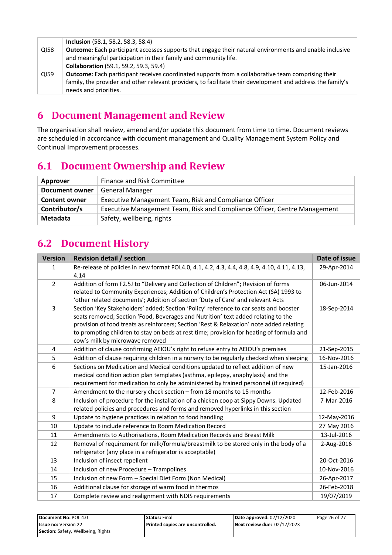|                  | <b>Inclusion</b> (58.1, 58.2, 58.3, 58.4)                                                                   |
|------------------|-------------------------------------------------------------------------------------------------------------|
| QI58             | Outcome: Each participant accesses supports that engage their natural environments and enable inclusive     |
|                  | and meaningful participation in their family and community life.                                            |
|                  | <b>Collaboration</b> (59.1, 59.2, 59.3, 59.4)                                                               |
| Q <sub>159</sub> | <b>Outcome:</b> Each participant receives coordinated supports from a collaborative team comprising their   |
|                  | family, the provider and other relevant providers, to facilitate their development and address the family's |
|                  | needs and priorities.                                                                                       |

### **6 Document Management and Review**

The organisation shall review, amend and/or update this document from time to time. Document reviews are scheduled in accordance with document management and Quality Management System Policy and Continual Improvement processes.

### **6.1 Document Ownership and Review**

| Approver             | Finance and Risk Committee                                                |
|----------------------|---------------------------------------------------------------------------|
| Document owner       | <b>General Manager</b>                                                    |
| <b>Content owner</b> | Executive Management Team, Risk and Compliance Officer                    |
| Contributor/s        | Executive Management Team, Risk and Compliance Officer, Centre Management |
| Metadata             | Safety, wellbeing, rights                                                 |

# **6.2 Document History**

| <b>Version</b> | <b>Revision detail / section</b>                                                                                                                                                                                                                                                                                                                                                                      | Date of issue |
|----------------|-------------------------------------------------------------------------------------------------------------------------------------------------------------------------------------------------------------------------------------------------------------------------------------------------------------------------------------------------------------------------------------------------------|---------------|
| 1              | Re-release of policies in new format POL4.0, 4.1, 4.2, 4.3, 4.4, 4.8, 4.9, 4.10, 4.11, 4.13,<br>4.14                                                                                                                                                                                                                                                                                                  | 29-Apr-2014   |
| $\overline{2}$ | Addition of form F2.5J to "Delivery and Collection of Children"; Revision of forms<br>related to Community Experiences; Addition of Children's Protection Act (SA) 1993 to<br>'other related documents'; Addition of section 'Duty of Care' and relevant Acts                                                                                                                                         | 06-Jun-2014   |
| 3              | Section 'Key Stakeholders' added; Section 'Policy' reference to car seats and booster<br>seats removed; Section 'Food, Beverages and Nutrition' text added relating to the<br>provision of food treats as reinforcers; Section 'Rest & Relaxation' note added relating<br>to prompting children to stay on beds at rest time; provision for heating of formula and<br>cow's milk by microwave removed | 18-Sep-2014   |
| 4              | Addition of clause confirming AEIOU's right to refuse entry to AEIOU's premises                                                                                                                                                                                                                                                                                                                       | 21-Sep-2015   |
| 5              | Addition of clause requiring children in a nursery to be regularly checked when sleeping                                                                                                                                                                                                                                                                                                              | 16-Nov-2016   |
| 6              | Sections on Medication and Medical conditions updated to reflect addition of new<br>medical condition action plan templates (asthma, epilepsy, anaphylaxis) and the<br>requirement for medication to only be administered by trained personnel (if required)                                                                                                                                          | 15-Jan-2016   |
| $\overline{7}$ | Amendment to the nursery check section - from 18 months to 15 months                                                                                                                                                                                                                                                                                                                                  | 12-Feb-2016   |
| 8              | Inclusion of procedure for the installation of a chicken coop at Sippy Downs. Updated<br>related policies and procedures and forms and removed hyperlinks in this section                                                                                                                                                                                                                             | 7-Mar-2016    |
| 9              | Update to hygiene practices in relation to food handling                                                                                                                                                                                                                                                                                                                                              | 12-May-2016   |
| 10             | Update to include reference to Room Medication Record                                                                                                                                                                                                                                                                                                                                                 | 27 May 2016   |
| 11             | Amendments to Authorisations, Room Medication Records and Breast Milk                                                                                                                                                                                                                                                                                                                                 | 13-Jul-2016   |
| 12             | Removal of requirement for milk/formula/breastmilk to be stored only in the body of a<br>refrigerator (any place in a refrigerator is acceptable)                                                                                                                                                                                                                                                     | 2-Aug-2016    |
| 13             | Inclusion of insect repellent                                                                                                                                                                                                                                                                                                                                                                         | 20-Oct-2016   |
| 14             | Inclusion of new Procedure - Trampolines                                                                                                                                                                                                                                                                                                                                                              | 10-Nov-2016   |
| 15             | Inclusion of new Form - Special Diet Form (Non Medical)                                                                                                                                                                                                                                                                                                                                               | 26-Apr-2017   |
| 16             | Additional clause for storage of warm food in thermos                                                                                                                                                                                                                                                                                                                                                 | 26-Feb-2018   |
| 17             | Complete review and realignment with NDIS requirements                                                                                                                                                                                                                                                                                                                                                | 19/07/2019    |

| Document No: POL 4.0               | <b>Status: Final</b>               | Date approved: 02/12/2020   | Page 26 of 27 |
|------------------------------------|------------------------------------|-----------------------------|---------------|
| <b>Issue no: Version 22</b>        | l Printed copies are uncontrolled. | Next review due: 02/12/2023 |               |
| Section: Safety, Wellbeing, Rights |                                    |                             |               |